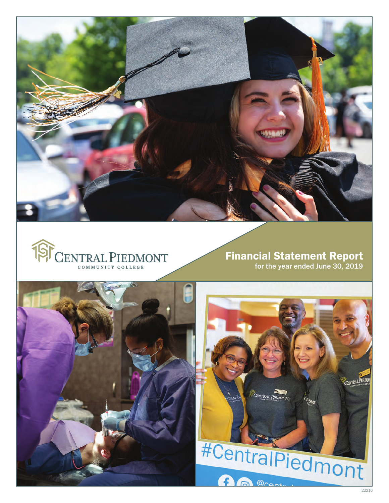



# Financial Statement Report for the year ended June 30, 2019

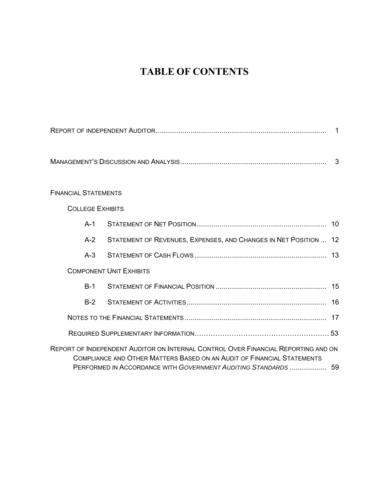# **TABLE OF CONTENTS**

|                             |                                                                                                                                                                                                                               | 1 |
|-----------------------------|-------------------------------------------------------------------------------------------------------------------------------------------------------------------------------------------------------------------------------|---|
|                             |                                                                                                                                                                                                                               | 3 |
| <b>FINANCIAL STATEMENTS</b> |                                                                                                                                                                                                                               |   |
| <b>COLLEGE EXHIBITS</b>     |                                                                                                                                                                                                                               |   |
| A-1                         |                                                                                                                                                                                                                               |   |
| $A-2$                       | STATEMENT OF REVENUES, EXPENSES, AND CHANGES IN NET POSITION  12                                                                                                                                                              |   |
| $A-3$                       |                                                                                                                                                                                                                               |   |
|                             | <b>COMPONENT UNIT EXHIBITS</b>                                                                                                                                                                                                |   |
| $B-1$                       |                                                                                                                                                                                                                               |   |
| $B-2$                       |                                                                                                                                                                                                                               |   |
|                             |                                                                                                                                                                                                                               |   |
|                             |                                                                                                                                                                                                                               |   |
|                             | REPORT OF INDEPENDENT AUDITOR ON INTERNAL CONTROL OVER FINANCIAL REPORTING AND ON<br>COMPLIANCE AND OTHER MATTERS BASED ON AN AUDIT OF FINANCIAL STATEMENTS<br>PERFORMED IN ACCORDANCE WITH GOVERNMENT AUDITING STANDARDS  59 |   |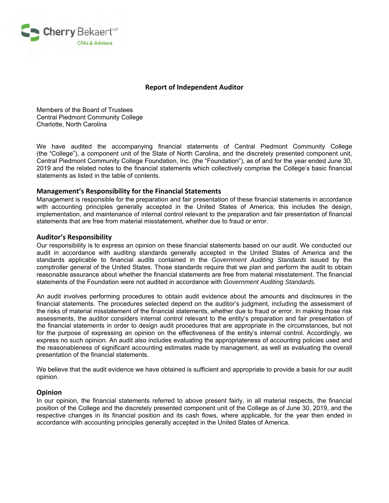

### **Report of Independent Auditor**

Members of the Board of Trustees Central Piedmont Community College Charlotte, North Carolina

We have audited the accompanying financial statements of Central Piedmont Community College (the "College"), a component unit of the State of North Carolina, and the discretely presented component unit, Central Piedmont Community College Foundation, Inc. (the "Foundation"), as of and for the year ended June 30, 2019 and the related notes to the financial statements which collectively comprise the College's basic financial statements as listed in the table of contents.

#### **Management's Responsibility for the Financial Statements**

Management is responsible for the preparation and fair presentation of these financial statements in accordance with accounting principles generally accepted in the United States of America; this includes the design, implementation, and maintenance of internal control relevant to the preparation and fair presentation of financial statements that are free from material misstatement, whether due to fraud or error.

#### **Auditor's Responsibility**

Our responsibility is to express an opinion on these financial statements based on our audit. We conducted our audit in accordance with auditing standards generally accepted in the United States of America and the standards applicable to financial audits contained in the *Government Auditing Standards* issued by the comptroller general of the United States. Those standards require that we plan and perform the audit to obtain reasonable assurance about whether the financial statements are free from material misstatement. The financial statements of the Foundation were not audited in accordance with *Government Auditing Standards.* 

An audit involves performing procedures to obtain audit evidence about the amounts and disclosures in the financial statements. The procedures selected depend on the auditor's judgment, including the assessment of the risks of material misstatement of the financial statements, whether due to fraud or error. In making those risk assessments, the auditor considers internal control relevant to the entity's preparation and fair presentation of the financial statements in order to design audit procedures that are appropriate in the circumstances, but not for the purpose of expressing an opinion on the effectiveness of the entity's internal control. Accordingly, we express no such opinion. An audit also includes evaluating the appropriateness of accounting policies used and the reasonableness of significant accounting estimates made by management, as well as evaluating the overall presentation of the financial statements.

We believe that the audit evidence we have obtained is sufficient and appropriate to provide a basis for our audit opinion.

#### **Opinion**

In our opinion, the financial statements referred to above present fairly, in all material respects, the financial position of the College and the discretely presented component unit of the College as of June 30, 2019, and the respective changes in its financial position and its cash flows, where applicable, for the year then ended in accordance with accounting principles generally accepted in the United States of America.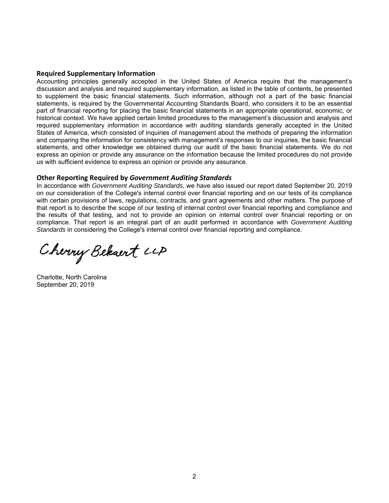#### **Required Supplementary Information**

Accounting principles generally accepted in the United States of America require that the management's discussion and analysis and required supplementary information, as listed in the table of contents, be presented to supplement the basic financial statements. Such information, although not a part of the basic financial statements, is required by the Governmental Accounting Standards Board, who considers it to be an essential part of financial reporting for placing the basic financial statements in an appropriate operational, economic, or historical context. We have applied certain limited procedures to the management's discussion and analysis and required supplementary information in accordance with auditing standards generally accepted in the United States of America, which consisted of inquiries of management about the methods of preparing the information and comparing the information for consistency with management's responses to our inquiries, the basic financial statements, and other knowledge we obtained during our audit of the basic financial statements. We do not express an opinion or provide any assurance on the information because the limited procedures do not provide us with sufficient evidence to express an opinion or provide any assurance.

#### **Other Reporting Required by** *Government Auditing Standards*

In accordance with *Government Auditing Standards*, we have also issued our report dated September 20, 2019 on our consideration of the College's internal control over financial reporting and on our tests of its compliance with certain provisions of laws, regulations, contracts, and grant agreements and other matters. The purpose of that report is to describe the scope of our testing of internal control over financial reporting and compliance and the results of that testing, and not to provide an opinion on internal control over financial reporting or on compliance. That report is an integral part of an audit performed in accordance with *Government Auditing Standards* in considering the College's internal control over financial reporting and compliance.

Cherry Bekaert LLP

Charlotte, North Carolina September 20, 2019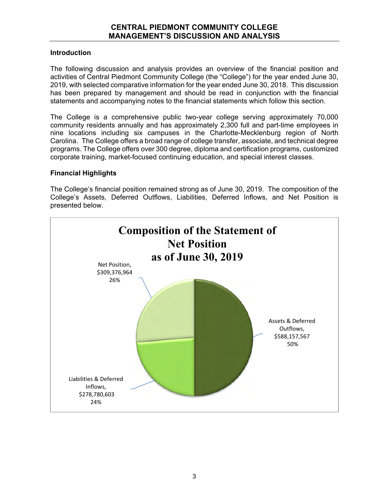# **Introduction**

The following discussion and analysis provides an overview of the financial position and activities of Central Piedmont Community College (the "College") for the year ended June 30, 2019, with selected comparative information for the year ended June 30, 2018. This discussion has been prepared by management and should be read in conjunction with the financial statements and accompanying notes to the financial statements which follow this section.

The College is a comprehensive public two-year college serving approximately 70,000 community residents annually and has approximately 2,300 full and part-time employees in nine locations including six campuses in the Charlotte-Mecklenburg region of North Carolina. The College offers a broad range of college transfer, associate, and technical degree programs. The College offers over 300 degree, diploma and certification programs, customized corporate training, market-focused continuing education, and special interest classes.

# **Financial Highlights**

The College's financial position remained strong as of June 30, 2019. The composition of the College's Assets, Deferred Outflows, Liabilities, Deferred Inflows, and Net Position is presented below.

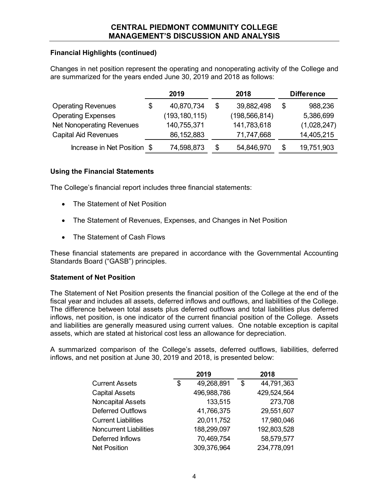# **Financial Highlights (continued)**

Changes in net position represent the operating and nonoperating activity of the College and are summarized for the years ended June 30, 2019 and 2018 as follows:

|                                  |   | 2019            |     | 2018            | <b>Difference</b> |             |  |
|----------------------------------|---|-----------------|-----|-----------------|-------------------|-------------|--|
| <b>Operating Revenues</b>        | S | 40,870,734      | S   | 39,882,498      | \$                | 988,236     |  |
| <b>Operating Expenses</b>        |   | (193, 180, 115) |     | (198, 566, 814) |                   | 5,386,699   |  |
| <b>Net Nonoperating Revenues</b> |   | 140,755,371     |     | 141,783,618     |                   | (1,028,247) |  |
| <b>Capital Aid Revenues</b>      |   | 86, 152, 883    |     | 71,747,668      |                   | 14,405,215  |  |
| Increase in Net Position \$      |   | 74,598,873      | \$. | 54,846,970      |                   | 19,751,903  |  |

# **Using the Financial Statements**

The College's financial report includes three financial statements:

- The Statement of Net Position
- The Statement of Revenues, Expenses, and Changes in Net Position
- The Statement of Cash Flows

These financial statements are prepared in accordance with the Governmental Accounting Standards Board ("GASB") principles.

# **Statement of Net Position**

The Statement of Net Position presents the financial position of the College at the end of the fiscal year and includes all assets, deferred inflows and outflows, and liabilities of the College. The difference between total assets plus deferred outflows and total liabilities plus deferred inflows, net position, is one indicator of the current financial position of the College. Assets and liabilities are generally measured using current values. One notable exception is capital assets, which are stated at historical cost less an allowance for depreciation.

A summarized comparison of the College's assets, deferred outflows, liabilities, deferred inflows, and net position at June 30, 2019 and 2018, is presented below:

|                               | 2019             | 2018             |
|-------------------------------|------------------|------------------|
| <b>Current Assets</b>         | \$<br>49,268,891 | \$<br>44,791,363 |
| <b>Capital Assets</b>         | 496,988,786      | 429,524,564      |
| <b>Noncapital Assets</b>      | 133,515          | 273,708          |
| <b>Deferred Outflows</b>      | 41,766,375       | 29,551,607       |
| <b>Current Liabilities</b>    | 20,011,752       | 17,980,046       |
| <b>Noncurrent Liabilities</b> | 188,299,097      | 192,803,528      |
| Deferred Inflows              | 70,469,754       | 58,579,577       |
| <b>Net Position</b>           | 309,376,964      | 234,778,091      |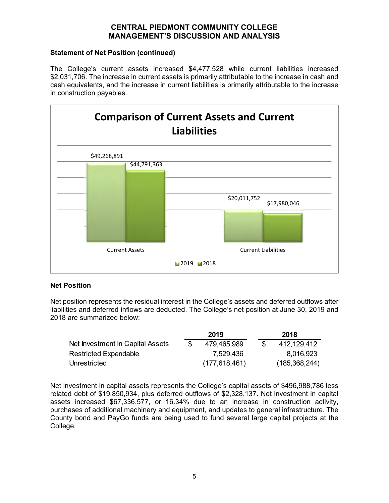# **Statement of Net Position (continued)**

The College's current assets increased \$4,477,528 while current liabilities increased \$2,031,706. The increase in current assets is primarily attributable to the increase in cash and cash equivalents, and the increase in current liabilities is primarily attributable to the increase in construction payables.



# **Net Position**

Net position represents the residual interest in the College's assets and deferred outflows after liabilities and deferred inflows are deducted. The College's net position at June 30, 2019 and 2018 are summarized below:

|                                  |     | 2019            | 2018            |
|----------------------------------|-----|-----------------|-----------------|
| Net Investment in Capital Assets | \$. | 479,465,989     | 412,129,412     |
| <b>Restricted Expendable</b>     |     | 7,529,436       | 8,016,923       |
| Unrestricted                     |     | (177, 618, 461) | (185, 368, 244) |

Net investment in capital assets represents the College's capital assets of \$496,988,786 less related debt of \$19,850,934, plus deferred outflows of \$2,328,137. Net investment in capital assets increased \$67,336,577, or 16.34% due to an increase in construction activity, purchases of additional machinery and equipment, and updates to general infrastructure. The County bond and PayGo funds are being used to fund several large capital projects at the College.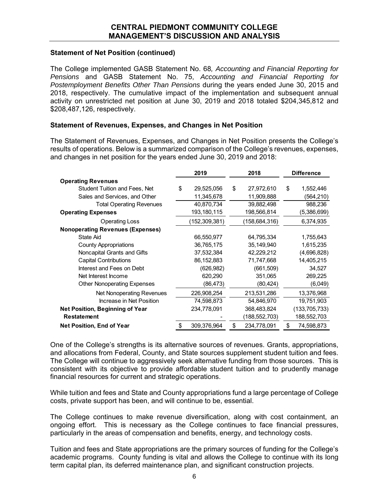# **Statement of Net Position (continued)**

The College implemented GASB Statement No. 68*, Accounting and Financial Reporting for Pensions* and GASB Statement No. 75, *Accounting and Financial Reporting for Postemployment Benefits Other Than Pensions* during the years ended June 30, 2015 and 2018, respectively. The cumulative impact of the implementation and subsequent annual activity on unrestricted net position at June 30, 2019 and 2018 totaled \$204,345,812 and \$208,487,126, respectively.

# **Statement of Revenues, Expenses, and Changes in Net Position**

The Statement of Revenues, Expenses, and Changes in Net Position presents the College's results of operations. Below is a summarized comparison of the College's revenues, expenses, and changes in net position for the years ended June 30, 2019 and 2018:

|                                         | 2019 |               | 2018 |               | <b>Difference</b> |
|-----------------------------------------|------|---------------|------|---------------|-------------------|
| <b>Operating Revenues</b>               |      |               |      |               |                   |
| Student Tuition and Fees, Net           | \$   | 29,525,056    | \$   | 27,972,610    | \$<br>1,552,446   |
| Sales and Services, and Other           |      | 11,345,678    |      | 11,909,888    | (564,210)         |
| <b>Total Operating Revenues</b>         |      | 40,870,734    |      | 39,882,498    | 988,236           |
| <b>Operating Expenses</b>               |      | 193,180,115   |      | 198,566,814   | (5,386,699)       |
| <b>Operating Loss</b>                   |      | (152,309,381) |      | (158,684,316) | 6,374,935         |
| <b>Nonoperating Revenues (Expenses)</b> |      |               |      |               |                   |
| State Aid                               |      | 66,550,977    |      | 64,795,334    | 1,755,643         |
| <b>County Appropriations</b>            |      | 36,765,175    |      | 35,149,940    | 1,615,235         |
| Noncapital Grants and Gifts             |      | 37,532,384    |      | 42,229,212    | (4,696,828)       |
| <b>Capital Contributions</b>            |      | 86,152,883    |      | 71,747,668    | 14,405,215        |
| Interest and Fees on Debt               |      | (626, 982)    |      | (661, 509)    | 34,527            |
| Net Interest Income                     |      | 620,290       |      | 351,065       | 269,225           |
| <b>Other Nonoperating Expenses</b>      |      | (86, 473)     |      | (80,424)      | (6,049)           |
| Net Nonoperating Revenues               |      | 226,908,254   |      | 213,531,286   | 13,376,968        |
| Increase in Net Position                |      | 74,598,873    |      | 54,846,970    | 19,751,903        |
| Net Position, Beginning of Year         |      | 234,778,091   |      | 368,483,824   | (133, 705, 733)   |
| <b>Restatement</b>                      |      |               |      | (188,552,703) | 188,552,703       |
| <b>Net Position, End of Year</b>        |      | 309,376,964   | \$   | 234,778,091   | \$<br>74,598,873  |

One of the College's strengths is its alternative sources of revenues. Grants, appropriations, and allocations from Federal, County, and State sources supplement student tuition and fees. The College will continue to aggressively seek alternative funding from those sources. This is consistent with its objective to provide affordable student tuition and to prudently manage financial resources for current and strategic operations.

While tuition and fees and State and County appropriations fund a large percentage of College costs, private support has been, and will continue to be, essential.

The College continues to make revenue diversification, along with cost containment, an ongoing effort. This is necessary as the College continues to face financial pressures, particularly in the areas of compensation and benefits, energy, and technology costs.

Tuition and fees and State appropriations are the primary sources of funding for the College's academic programs. County funding is vital and allows the College to continue with its long term capital plan, its deferred maintenance plan, and significant construction projects.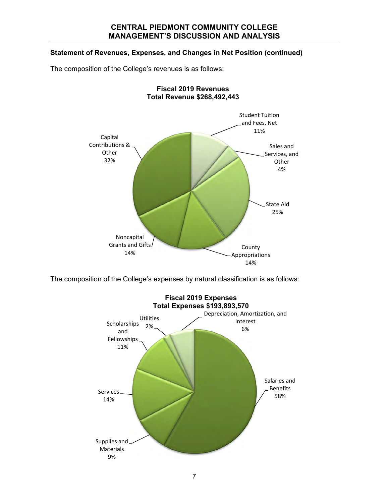# **Statement of Revenues, Expenses, and Changes in Net Position (continued)**

The composition of the College's revenues is as follows:



The composition of the College's expenses by natural classification is as follows:

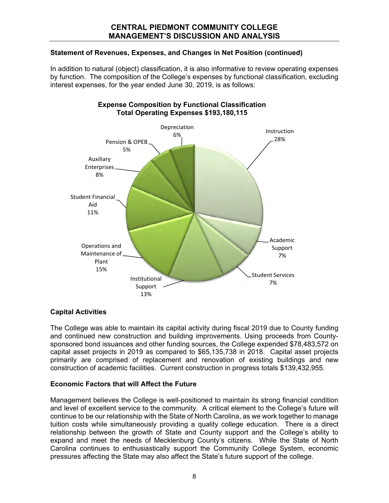# **Statement of Revenues, Expenses, and Changes in Net Position (continued)**

In addition to natural (object) classification, it is also informative to review operating expenses by function. The composition of the College's expenses by functional classification, excluding interest expenses, for the year ended June 30, 2019, is as follows:



# **Expense Composition by Functional Classification Total Operating Expenses \$193,180,115**

# **Capital Activities**

The College was able to maintain its capital activity during fiscal 2019 due to County funding and continued new construction and building improvements. Using proceeds from Countysponsored bond issuances and other funding sources, the College expended \$78,483,572 on capital asset projects in 2019 as compared to \$65,135,738 in 2018. Capital asset projects primarily are comprised of replacement and renovation of existing buildings and new construction of academic facilities. Current construction in progress totals \$139,432,955.

# **Economic Factors that will Affect the Future**

Management believes the College is well-positioned to maintain its strong financial condition and level of excellent service to the community. A critical element to the College's future will continue to be our relationship with the State of North Carolina, as we work together to manage tuition costs while simultaneously providing a quality college education. There is a direct relationship between the growth of State and County support and the College's ability to expand and meet the needs of Mecklenburg County's citizens. While the State of North Carolina continues to enthusiastically support the Community College System, economic pressures affecting the State may also affect the State's future support of the college.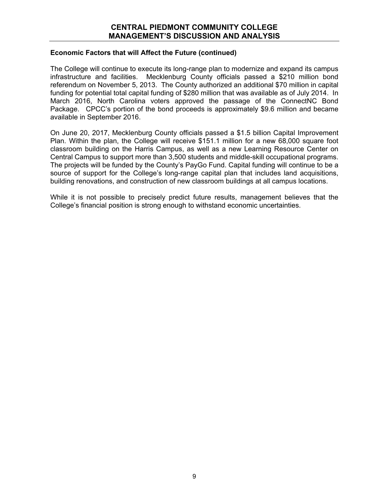# **CENTRAL PIEDMONT COMMUNITY COLLEGE MANAGEMENT'S DISCUSSION AND ANALYSIS**

# **Economic Factors that will Affect the Future (continued)**

The College will continue to execute its long-range plan to modernize and expand its campus infrastructure and facilities. Mecklenburg County officials passed a \$210 million bond referendum on November 5, 2013. The County authorized an additional \$70 million in capital funding for potential total capital funding of \$280 million that was available as of July 2014. In March 2016, North Carolina voters approved the passage of the ConnectNC Bond Package. CPCC's portion of the bond proceeds is approximately \$9.6 million and became available in September 2016.

On June 20, 2017, Mecklenburg County officials passed a \$1.5 billion Capital Improvement Plan. Within the plan, the College will receive \$151.1 million for a new 68,000 square foot classroom building on the Harris Campus, as well as a new Learning Resource Center on Central Campus to support more than 3,500 students and middle-skill occupational programs. The projects will be funded by the County's PayGo Fund. Capital funding will continue to be a source of support for the College's long-range capital plan that includes land acquisitions, building renovations, and construction of new classroom buildings at all campus locations.

While it is not possible to precisely predict future results, management believes that the College's financial position is strong enough to withstand economic uncertainties.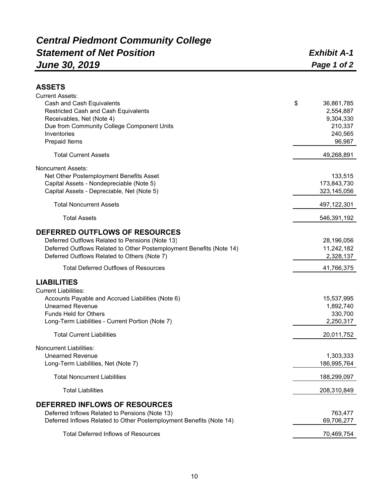# *Statement of Net Position Exhibit A-1 June 30, 2019 Page 1 of 2 Central Piedmont Community College*

# **ASSETS**

| <b>Current Assets:</b>                                               |                  |
|----------------------------------------------------------------------|------------------|
| Cash and Cash Equivalents                                            | \$<br>36,861,785 |
| Restricted Cash and Cash Equivalents                                 | 2,554,887        |
| Receivables, Net (Note 4)                                            | 9,304,330        |
| Due from Community College Component Units                           | 210,337          |
|                                                                      |                  |
| Inventories                                                          | 240,565          |
| Prepaid Items                                                        | 96,987           |
| <b>Total Current Assets</b>                                          | 49,268,891       |
| <b>Noncurrent Assets:</b>                                            |                  |
| Net Other Postemployment Benefits Asset                              | 133,515          |
| Capital Assets - Nondepreciable (Note 5)                             | 173,843,730      |
| Capital Assets - Depreciable, Net (Note 5)                           | 323,145,056      |
|                                                                      |                  |
| <b>Total Noncurrent Assets</b>                                       | 497,122,301      |
| <b>Total Assets</b>                                                  | 546,391,192      |
| DEFERRED OUTFLOWS OF RESOURCES                                       |                  |
| Deferred Outflows Related to Pensions (Note 13)                      | 28,196,056       |
| Deferred Outflows Related to Other Postemployment Benefits (Note 14) | 11,242,182       |
|                                                                      |                  |
| Deferred Outflows Related to Others (Note 7)                         | 2,328,137        |
| <b>Total Deferred Outflows of Resources</b>                          | 41,766,375       |
| <b>LIABILITIES</b>                                                   |                  |
| <b>Current Liabilities:</b>                                          |                  |
| Accounts Payable and Accrued Liabilities (Note 6)                    | 15,537,995       |
| <b>Unearned Revenue</b>                                              |                  |
|                                                                      | 1,892,740        |
| <b>Funds Held for Others</b>                                         | 330,700          |
| Long-Term Liabilities - Current Portion (Note 7)                     | 2,250,317        |
| <b>Total Current Liabilities</b>                                     | 20,011,752       |
| <b>Noncurrent Liabilities:</b>                                       |                  |
| <b>Unearned Revenue</b>                                              | 1,303,333        |
| Long-Term Liabilities, Net (Note 7)                                  | 186,995,764      |
| <b>Total Noncurrent Liabilities</b>                                  | 188,299,097      |
|                                                                      |                  |
| <b>Total Liabilities</b>                                             | 208,310,849      |
| DEFERRED INFLOWS OF RESOURCES                                        |                  |
| Deferred Inflows Related to Pensions (Note 13)                       | 763,477          |
| Deferred Inflows Related to Other Postemployment Benefits (Note 14)  | 69,706,277       |
| <b>Total Deferred Inflows of Resources</b>                           | 70,469,754       |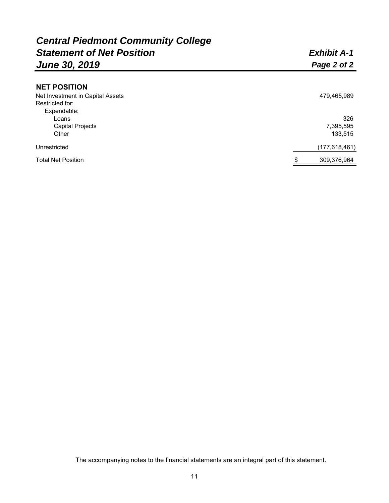# *Central Piedmont Community College Statement of Net Position Exhibit A-1 June 30, 2019 Page 2 of 2*

| <b>NET POSITION</b>              |                   |
|----------------------------------|-------------------|
| Net Investment in Capital Assets | 479,465,989       |
| Restricted for:                  |                   |
| Expendable:                      |                   |
| Loans                            | 326               |
| <b>Capital Projects</b>          | 7,395,595         |
| Other                            | 133,515           |
| Unrestricted                     | (177, 618, 461)   |
| <b>Total Net Position</b>        | \$<br>309,376,964 |
|                                  |                   |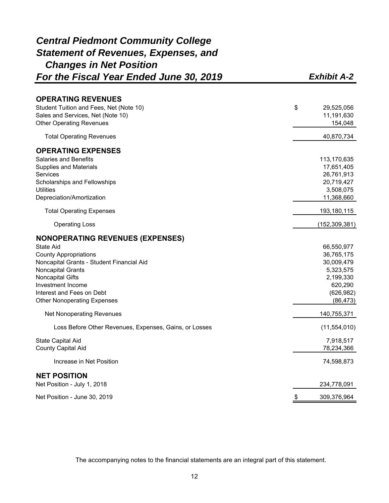# *Central Piedmont Community College Statement of Revenues, Expenses, and Changes in Net Position For the Fiscal Year Ended June 30, 2019 Exhibit A-2*

| <b>OPERATING REVENUES</b>                              |                   |
|--------------------------------------------------------|-------------------|
| Student Tuition and Fees, Net (Note 10)                | \$<br>29,525,056  |
| Sales and Services, Net (Note 10)                      | 11,191,630        |
| <b>Other Operating Revenues</b>                        | 154,048           |
|                                                        |                   |
| <b>Total Operating Revenues</b>                        | 40,870,734        |
| <b>OPERATING EXPENSES</b>                              |                   |
| <b>Salaries and Benefits</b>                           | 113,170,635       |
| <b>Supplies and Materials</b>                          | 17,651,405        |
| Services                                               | 26,761,913        |
| Scholarships and Fellowships                           | 20,719,427        |
| Utilities                                              | 3,508,075         |
| Depreciation/Amortization                              | 11,368,660        |
| <b>Total Operating Expenses</b>                        | 193,180,115       |
| <b>Operating Loss</b>                                  | (152, 309, 381)   |
| <b>NONOPERATING REVENUES (EXPENSES)</b>                |                   |
| State Aid                                              | 66,550,977        |
| <b>County Appropriations</b>                           | 36,765,175        |
| Noncapital Grants - Student Financial Aid              | 30,009,479        |
| Noncapital Grants                                      | 5,323,575         |
| <b>Noncapital Gifts</b>                                | 2,199,330         |
| Investment Income                                      | 620,290           |
| Interest and Fees on Debt                              | (626, 982)        |
| <b>Other Nonoperating Expenses</b>                     | (86, 473)         |
| <b>Net Nonoperating Revenues</b>                       | 140,755,371       |
| Loss Before Other Revenues, Expenses, Gains, or Losses | (11, 554, 010)    |
| State Capital Aid                                      | 7,918,517         |
| <b>County Capital Aid</b>                              | 78,234,366        |
| Increase in Net Position                               | 74,598,873        |
| <b>NET POSITION</b>                                    |                   |
| Net Position - July 1, 2018                            | 234,778,091       |
| Net Position - June 30, 2019                           | \$<br>309,376,964 |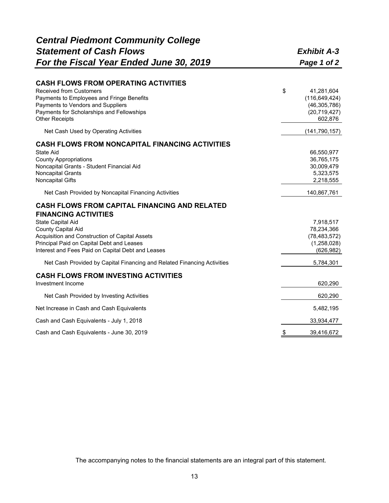| <b>Central Piedmont Community College</b>                                                                                                                                                                                                                                                        |                                                                                    |
|--------------------------------------------------------------------------------------------------------------------------------------------------------------------------------------------------------------------------------------------------------------------------------------------------|------------------------------------------------------------------------------------|
| <b>Statement of Cash Flows</b>                                                                                                                                                                                                                                                                   | <b>Exhibit A-3</b>                                                                 |
| For the Fiscal Year Ended June 30, 2019                                                                                                                                                                                                                                                          | Page 1 of 2                                                                        |
| <b>CASH FLOWS FROM OPERATING ACTIVITIES</b><br><b>Received from Customers</b><br>Payments to Employees and Fringe Benefits<br>Payments to Vendors and Suppliers<br>Payments for Scholarships and Fellowships<br><b>Other Receipts</b>                                                            | \$<br>41,281,604<br>(116, 649, 424)<br>(46, 305, 786)<br>(20, 719, 427)<br>602,876 |
| Net Cash Used by Operating Activities                                                                                                                                                                                                                                                            | (141, 790, 157)                                                                    |
| <b>CASH FLOWS FROM NONCAPITAL FINANCING ACTIVITIES</b><br><b>State Aid</b><br><b>County Appropriations</b><br>Noncapital Grants - Student Financial Aid<br><b>Noncapital Grants</b><br>Noncapital Gifts                                                                                          | 66,550,977<br>36,765,175<br>30,009,479<br>5,323,575<br>2,218,555                   |
| Net Cash Provided by Noncapital Financing Activities                                                                                                                                                                                                                                             | 140,867,761                                                                        |
| <b>CASH FLOWS FROM CAPITAL FINANCING AND RELATED</b><br><b>FINANCING ACTIVITIES</b><br><b>State Capital Aid</b><br><b>County Capital Aid</b><br>Acquisition and Construction of Capital Assets<br>Principal Paid on Capital Debt and Leases<br>Interest and Fees Paid on Capital Debt and Leases | 7,918,517<br>78,234,366<br>(78, 483, 572)<br>(1,258,028)<br>(626, 982)             |
| Net Cash Provided by Capital Financing and Related Financing Activities                                                                                                                                                                                                                          | 5,784,301                                                                          |
| <b>CASH FLOWS FROM INVESTING ACTIVITIES</b><br>Investment Income<br>Net Cash Provided by Investing Activities                                                                                                                                                                                    | 620,290<br>620,290                                                                 |
| Net Increase in Cash and Cash Equivalents                                                                                                                                                                                                                                                        | 5,482,195                                                                          |
| Cash and Cash Equivalents - July 1, 2018<br>Cash and Cash Equivalents - June 30, 2019                                                                                                                                                                                                            | 33,934,477<br>\$<br>39,416,672                                                     |
|                                                                                                                                                                                                                                                                                                  |                                                                                    |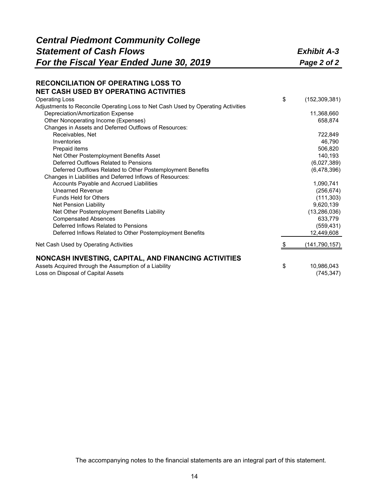| <b>Statement of Cash Flows</b>                                                   | <b>Exhibit A-3</b> |
|----------------------------------------------------------------------------------|--------------------|
| For the Fiscal Year Ended June 30, 2019                                          | Page 2 of 2        |
|                                                                                  |                    |
| <b>RECONCILIATION OF OPERATING LOSS TO</b>                                       |                    |
| <b>NET CASH USED BY OPERATING ACTIVITIES</b>                                     |                    |
| \$<br><b>Operating Loss</b>                                                      | (152, 309, 381)    |
| Adjustments to Reconcile Operating Loss to Net Cash Used by Operating Activities |                    |
| Depreciation/Amortization Expense                                                | 11,368,660         |
| Other Nonoperating Income (Expenses)                                             | 658.874            |
| Changes in Assets and Deferred Outflows of Resources:                            |                    |
| Receivables, Net                                                                 | 722,849            |
| Inventories                                                                      | 46,790             |
| Prepaid items                                                                    | 506,820            |
| Net Other Postemployment Benefits Asset                                          | 140,193            |
| Deferred Outflows Related to Pensions                                            | (6,027,389)        |
| Deferred Outflows Related to Other Postemployment Benefits                       | (6,478,396)        |
| Changes in Liabilities and Deferred Inflows of Resources:                        |                    |
| Accounts Payable and Accrued Liabilities                                         | 1,090,741          |
| <b>Unearned Revenue</b>                                                          | (256, 674)         |
| <b>Funds Held for Others</b>                                                     | (111, 303)         |
| Net Pension Liability                                                            | 9,620,139          |
| Net Other Postemployment Benefits Liability                                      | (13, 286, 036)     |
| <b>Compensated Absences</b>                                                      | 633,779            |
| Deferred Inflows Related to Pensions                                             | (559, 431)         |
| Deferred Inflows Related to Other Postemployment Benefits                        | 12,449,608         |
| Net Cash Used by Operating Activities<br>\$                                      | (141, 790, 157)    |
| <b>NONCASH INVESTING, CAPITAL, AND FINANCING ACTIVITIES</b>                      |                    |
| Assets Acquired through the Assumption of a Liability<br>\$                      | 10,986,043         |
| Loss on Disposal of Capital Assets                                               | (745, 347)         |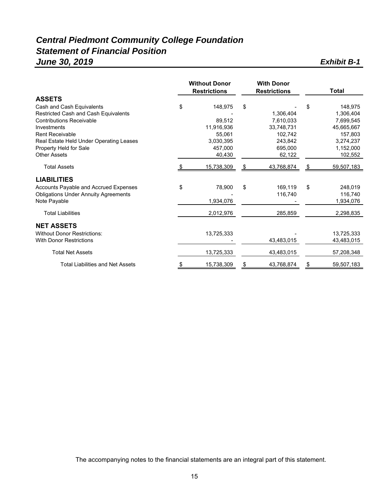# *Central Piedmont Community College Foundation Statement of Financial Position*

*June 30, 2019 Exhibit B-1*

|                                             | <b>Without Donor</b><br><b>Restrictions</b> |            | <b>With Donor</b><br><b>Restrictions</b> |            | Total            |
|---------------------------------------------|---------------------------------------------|------------|------------------------------------------|------------|------------------|
| <b>ASSETS</b>                               |                                             |            |                                          |            |                  |
| Cash and Cash Equivalents                   | \$                                          | 148,975    | \$                                       |            | \$<br>148,975    |
| Restricted Cash and Cash Equivalents        |                                             |            |                                          | 1,306,404  | 1,306,404        |
| <b>Contributions Receivable</b>             |                                             | 89.512     |                                          | 7.610.033  | 7,699,545        |
| Investments                                 |                                             | 11,916,936 |                                          | 33,748,731 | 45,665,667       |
| <b>Rent Receivable</b>                      |                                             | 55,061     |                                          | 102,742    | 157,803          |
| Real Estate Held Under Operating Leases     |                                             | 3,030,395  |                                          | 243.842    | 3,274,237        |
| Property Held for Sale                      |                                             | 457.000    |                                          | 695.000    | 1,152,000        |
| <b>Other Assets</b>                         |                                             | 40,430     |                                          | 62,122     | 102,552          |
| <b>Total Assets</b>                         |                                             | 15,738,309 |                                          | 43,768,874 | \$<br>59,507,183 |
| <b>LIABILITIES</b>                          |                                             |            |                                          |            |                  |
| Accounts Payable and Accrued Expenses       | \$                                          | 78,900     | \$                                       | 169,119    | \$<br>248,019    |
| <b>Obligations Under Annuity Agreements</b> |                                             |            |                                          | 116,740    | 116,740          |
| Note Payable                                |                                             | 1,934,076  |                                          |            | 1,934,076        |
| <b>Total Liabilities</b>                    |                                             | 2,012,976  |                                          | 285,859    | 2,298,835        |
| <b>NET ASSETS</b>                           |                                             |            |                                          |            |                  |
| <b>Without Donor Restrictions:</b>          |                                             | 13,725,333 |                                          |            | 13,725,333       |
| <b>With Donor Restrictions</b>              |                                             |            |                                          | 43,483,015 | 43,483,015       |
| <b>Total Net Assets</b>                     |                                             | 13,725,333 |                                          | 43,483,015 | 57,208,348       |
| <b>Total Liabilities and Net Assets</b>     |                                             | 15,738,309 | \$                                       | 43,768,874 | \$<br>59,507,183 |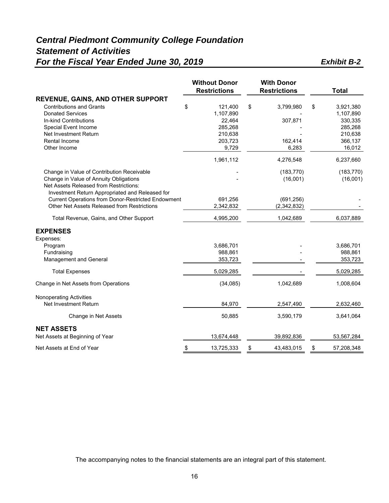# *Central Piedmont Community College Foundation Statement of Activities For the Fiscal Year Ended June 30, 2019 Exhibit B-2*

|                                                           | <b>Without Donor</b> |    | <b>With Donor</b>   |    |              |
|-----------------------------------------------------------|----------------------|----|---------------------|----|--------------|
|                                                           | <b>Restrictions</b>  |    | <b>Restrictions</b> |    | <b>Total</b> |
| <b>REVENUE, GAINS, AND OTHER SUPPORT</b>                  |                      |    |                     |    |              |
| <b>Contributions and Grants</b>                           | \$<br>121,400        | \$ | 3,799,980           | \$ | 3,921,380    |
| <b>Donated Services</b>                                   | 1,107,890            |    |                     |    | 1,107,890    |
| In-kind Contributions                                     | 22,464               |    | 307,871             |    | 330,335      |
| Special Event Income                                      | 285,268              |    |                     |    | 285,268      |
| Net Investment Return                                     | 210,638              |    |                     |    | 210,638      |
| Rental Income                                             | 203,723              |    | 162,414             |    | 366,137      |
| Other Income                                              | 9,729                |    | 6,283               |    | 16,012       |
|                                                           | 1,961,112            |    | 4,276,548           |    | 6,237,660    |
| Change in Value of Contribution Receivable                |                      |    | (183, 770)          |    | (183, 770)   |
| Change in Value of Annuity Obligations                    |                      |    | (16,001)            |    | (16,001)     |
| Net Assets Released from Restrictions:                    |                      |    |                     |    |              |
| Investment Return Appropriated and Released for           |                      |    |                     |    |              |
| <b>Current Operations from Donor-Restricted Endowment</b> | 691,256              |    | (691, 256)          |    |              |
| Other Net Assets Released from Restrictions               | 2,342,832            |    | (2,342,832)         |    |              |
| Total Revenue, Gains, and Other Support                   | 4,995,200            |    | 1,042,689           |    | 6,037,889    |
| <b>EXPENSES</b>                                           |                      |    |                     |    |              |
| Expenses:                                                 |                      |    |                     |    |              |
| Program                                                   | 3,686,701            |    |                     |    | 3,686,701    |
| Fundraising                                               | 988,861              |    |                     |    | 988,861      |
| Management and General                                    | 353,723              |    |                     |    | 353,723      |
| <b>Total Expenses</b>                                     | 5,029,285            |    |                     |    | 5,029,285    |
| Change in Net Assets from Operations                      | (34,085)             |    | 1,042,689           |    | 1,008,604    |
| <b>Nonoperating Activities</b>                            |                      |    |                     |    |              |
| Net Investment Return                                     | 84,970               |    | 2,547,490           |    | 2,632,460    |
| Change in Net Assets                                      | 50,885               |    | 3,590,179           |    | 3,641,064    |
| <b>NET ASSETS</b>                                         |                      |    |                     |    |              |
| Net Assets at Beginning of Year                           | 13,674,448           |    | 39,892,836          |    | 53,567,284   |
| Net Assets at End of Year                                 | \$<br>13,725,333     | \$ | 43,483,015          | \$ | 57,208,348   |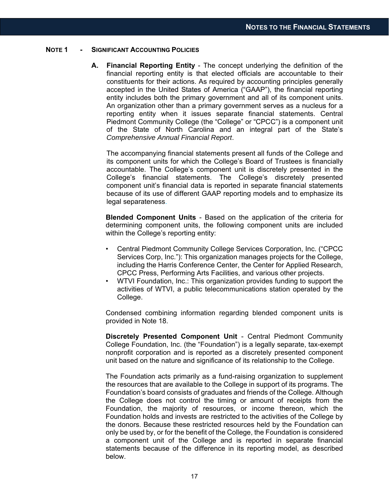#### **NOTE 1 - SIGNIFICANT ACCOUNTING POLICIES**

**A. Financial Reporting Entity** - The concept underlying the definition of the financial reporting entity is that elected officials are accountable to their constituents for their actions. As required by accounting principles generally accepted in the United States of America ("GAAP"), the financial reporting entity includes both the primary government and all of its component units. An organization other than a primary government serves as a nucleus for a reporting entity when it issues separate financial statements. Central Piedmont Community College (the "College" or "CPCC") is a component unit of the State of North Carolina and an integral part of the State's *Comprehensive Annual Financial Report*.

The accompanying financial statements present all funds of the College and its component units for which the College's Board of Trustees is financially accountable. The College's component unit is discretely presented in the College's financial statements. The College's discretely presented component unit's financial data is reported in separate financial statements because of its use of different GAAP reporting models and to emphasize its legal separateness.

**Blended Component Units** - Based on the application of the criteria for determining component units, the following component units are included within the College's reporting entity:

- Central Piedmont Community College Services Corporation, Inc. ("CPCC Services Corp, Inc."): This organization manages projects for the College, including the Harris Conference Center, the Center for Applied Research, CPCC Press, Performing Arts Facilities, and various other projects.
- WTVI Foundation, Inc.: This organization provides funding to support the activities of WTVI, a public telecommunications station operated by the College.

Condensed combining information regarding blended component units is provided in Note 18.

**Discretely Presented Component Unit** - Central Piedmont Community College Foundation, Inc. (the "Foundation") is a legally separate, tax-exempt nonprofit corporation and is reported as a discretely presented component unit based on the nature and significance of its relationship to the College.

The Foundation acts primarily as a fund-raising organization to supplement the resources that are available to the College in support of its programs. The Foundation's board consists of graduates and friends of the College. Although the College does not control the timing or amount of receipts from the Foundation, the majority of resources, or income thereon, which the Foundation holds and invests are restricted to the activities of the College by the donors. Because these restricted resources held by the Foundation can only be used by, or for the benefit of the College, the Foundation is considered a component unit of the College and is reported in separate financial statements because of the difference in its reporting model, as described below.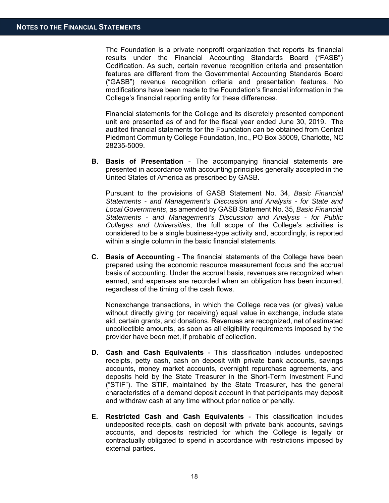The Foundation is a private nonprofit organization that reports its financial results under the Financial Accounting Standards Board ("FASB") Codification. As such, certain revenue recognition criteria and presentation features are different from the Governmental Accounting Standards Board ("GASB") revenue recognition criteria and presentation features. No modifications have been made to the Foundation's financial information in the College's financial reporting entity for these differences.

Financial statements for the College and its discretely presented component unit are presented as of and for the fiscal year ended June 30, 2019. The audited financial statements for the Foundation can be obtained from Central Piedmont Community College Foundation, Inc., PO Box 35009, Charlotte, NC 28235-5009.

**B. Basis of Presentation** - The accompanying financial statements are presented in accordance with accounting principles generally accepted in the United States of America as prescribed by GASB.

Pursuant to the provisions of GASB Statement No. 34, *Basic Financial Statements - and Management's Discussion and Analysis - for State and Local Governments*, as amended by GASB Statement No. 35, *Basic Financial Statements - and Management's Discussion and Analysis - for Public Colleges and Universities*, the full scope of the College's activities is considered to be a single business-type activity and, accordingly, is reported within a single column in the basic financial statements.

**C. Basis of Accounting** - The financial statements of the College have been prepared using the economic resource measurement focus and the accrual basis of accounting. Under the accrual basis, revenues are recognized when earned, and expenses are recorded when an obligation has been incurred, regardless of the timing of the cash flows.

Nonexchange transactions, in which the College receives (or gives) value without directly giving (or receiving) equal value in exchange, include state aid, certain grants, and donations. Revenues are recognized, net of estimated uncollectible amounts, as soon as all eligibility requirements imposed by the provider have been met, if probable of collection.

- **D. Cash and Cash Equivalents**  This classification includes undeposited receipts, petty cash, cash on deposit with private bank accounts, savings accounts, money market accounts, overnight repurchase agreements, and deposits held by the State Treasurer in the Short-Term Investment Fund ("STIF"). The STIF, maintained by the State Treasurer, has the general characteristics of a demand deposit account in that participants may deposit and withdraw cash at any time without prior notice or penalty.
- **E. Restricted Cash and Cash Equivalents**  This classification includes undeposited receipts, cash on deposit with private bank accounts, savings accounts, and deposits restricted for which the College is legally or contractually obligated to spend in accordance with restrictions imposed by external parties.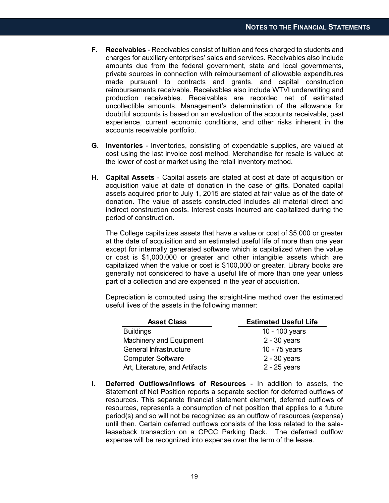- **F. Receivables**  Receivables consist of tuition and fees charged to students and charges for auxiliary enterprises' sales and services. Receivables also include amounts due from the federal government, state and local governments, private sources in connection with reimbursement of allowable expenditures made pursuant to contracts and grants, and capital construction reimbursements receivable. Receivables also include WTVI underwriting and production receivables. Receivables are recorded net of estimated uncollectible amounts. Management's determination of the allowance for doubtful accounts is based on an evaluation of the accounts receivable, past experience, current economic conditions, and other risks inherent in the accounts receivable portfolio.
- **G. Inventories**  Inventories, consisting of expendable supplies, are valued at cost using the last invoice cost method. Merchandise for resale is valued at the lower of cost or market using the retail inventory method.
- **H. Capital Assets**  Capital assets are stated at cost at date of acquisition or acquisition value at date of donation in the case of gifts. Donated capital assets acquired prior to July 1, 2015 are stated at fair value as of the date of donation. The value of assets constructed includes all material direct and indirect construction costs. Interest costs incurred are capitalized during the period of construction.

The College capitalizes assets that have a value or cost of \$5,000 or greater at the date of acquisition and an estimated useful life of more than one year except for internally generated software which is capitalized when the value or cost is \$1,000,000 or greater and other intangible assets which are capitalized when the value or cost is \$100,000 or greater. Library books are generally not considered to have a useful life of more than one year unless part of a collection and are expensed in the year of acquisition.

Depreciation is computed using the straight-line method over the estimated useful lives of the assets in the following manner:

| <b>Asset Class</b>             | <b>Estimated Useful Life</b> |
|--------------------------------|------------------------------|
| <b>Buildings</b>               | 10 - 100 years               |
| Machinery and Equipment        | $2 - 30$ years               |
| General Infrastructure         | 10 - 75 years                |
| <b>Computer Software</b>       | $2 - 30$ years               |
| Art, Literature, and Artifacts | $2 - 25$ years               |

**I. Deferred Outflows/Inflows of Resources** - In addition to assets, the Statement of Net Position reports a separate section for deferred outflows of resources. This separate financial statement element, deferred outflows of resources, represents a consumption of net position that applies to a future period(s) and so will not be recognized as an outflow of resources (expense) until then. Certain deferred outflows consists of the loss related to the saleleaseback transaction on a CPCC Parking Deck. The deferred outflow expense will be recognized into expense over the term of the lease.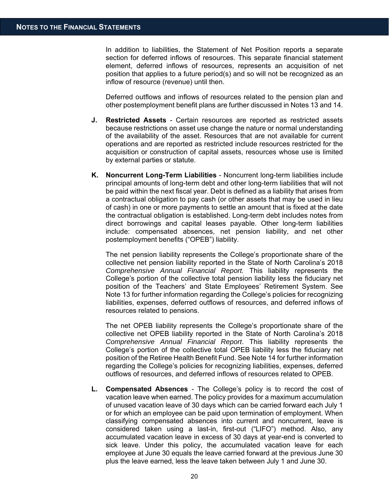In addition to liabilities, the Statement of Net Position reports a separate section for deferred inflows of resources. This separate financial statement element, deferred inflows of resources, represents an acquisition of net position that applies to a future period(s) and so will not be recognized as an inflow of resource (revenue) until then.

Deferred outflows and inflows of resources related to the pension plan and other postemployment benefit plans are further discussed in Notes 13 and 14.

- **J. Restricted Assets**  Certain resources are reported as restricted assets because restrictions on asset use change the nature or normal understanding of the availability of the asset. Resources that are not available for current operations and are reported as restricted include resources restricted for the acquisition or construction of capital assets, resources whose use is limited by external parties or statute.
- **K. Noncurrent Long-Term Liabilities**  Noncurrent long-term liabilities include principal amounts of long-term debt and other long-term liabilities that will not be paid within the next fiscal year. Debt is defined as a liability that arises from a contractual obligation to pay cash (or other assets that may be used in lieu of cash) in one or more payments to settle an amount that is fixed at the date the contractual obligation is established. Long-term debt includes notes from direct borrowings and capital leases payable. Other long-term liabilities include: compensated absences, net pension liability, and net other postemployment benefits ("OPEB") liability.

The net pension liability represents the College's proportionate share of the collective net pension liability reported in the State of North Carolina's 2018 *Comprehensive Annual Financial Report.* This liability represents the College's portion of the collective total pension liability less the fiduciary net position of the Teachers' and State Employees' Retirement System. See Note 13 for further information regarding the College's policies for recognizing liabilities, expenses, deferred outflows of resources, and deferred inflows of resources related to pensions.

The net OPEB liability represents the College's proportionate share of the collective net OPEB liability reported in the State of North Carolina's 2018 *Comprehensive Annual Financial Report*. This liability represents the College's portion of the collective total OPEB liability less the fiduciary net position of the Retiree Health Benefit Fund. See Note 14 for further information regarding the College's policies for recognizing liabilities, expenses, deferred outflows of resources, and deferred inflows of resources related to OPEB.

**L. Compensated Absences** - The College's policy is to record the cost of vacation leave when earned. The policy provides for a maximum accumulation of unused vacation leave of 30 days which can be carried forward each July 1 or for which an employee can be paid upon termination of employment. When classifying compensated absences into current and noncurrent, leave is considered taken using a last-in, first-out ("LIFO") method. Also, any accumulated vacation leave in excess of 30 days at year-end is converted to sick leave. Under this policy, the accumulated vacation leave for each employee at June 30 equals the leave carried forward at the previous June 30 plus the leave earned, less the leave taken between July 1 and June 30.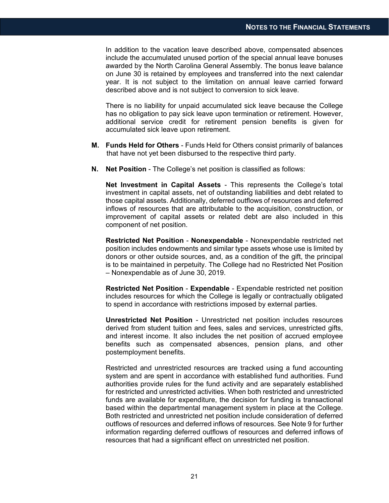In addition to the vacation leave described above, compensated absences include the accumulated unused portion of the special annual leave bonuses awarded by the North Carolina General Assembly. The bonus leave balance on June 30 is retained by employees and transferred into the next calendar year. It is not subject to the limitation on annual leave carried forward described above and is not subject to conversion to sick leave.

There is no liability for unpaid accumulated sick leave because the College has no obligation to pay sick leave upon termination or retirement. However, additional service credit for retirement pension benefits is given for accumulated sick leave upon retirement.

- **M. Funds Held for Others** Funds Held for Others consist primarily of balances that have not yet been disbursed to the respective third party.
- **N. Net Position**  The College's net position is classified as follows:

**Net Investment in Capital Assets** - This represents the College's total investment in capital assets, net of outstanding liabilities and debt related to those capital assets. Additionally, deferred outflows of resources and deferred inflows of resources that are attributable to the acquisition, construction, or improvement of capital assets or related debt are also included in this component of net position.

**Restricted Net Position** - **Nonexpendable** - Nonexpendable restricted net position includes endowments and similar type assets whose use is limited by donors or other outside sources, and, as a condition of the gift, the principal is to be maintained in perpetuity. The College had no Restricted Net Position – Nonexpendable as of June 30, 2019.

**Restricted Net Position** - **Expendable** - Expendable restricted net position includes resources for which the College is legally or contractually obligated to spend in accordance with restrictions imposed by external parties.

**Unrestricted Net Position** - Unrestricted net position includes resources derived from student tuition and fees, sales and services, unrestricted gifts, and interest income. It also includes the net position of accrued employee benefits such as compensated absences, pension plans, and other postemployment benefits.

Restricted and unrestricted resources are tracked using a fund accounting system and are spent in accordance with established fund authorities. Fund authorities provide rules for the fund activity and are separately established for restricted and unrestricted activities. When both restricted and unrestricted funds are available for expenditure, the decision for funding is transactional based within the departmental management system in place at the College. Both restricted and unrestricted net position include consideration of deferred outflows of resources and deferred inflows of resources. See Note 9 for further information regarding deferred outflows of resources and deferred inflows of resources that had a significant effect on unrestricted net position.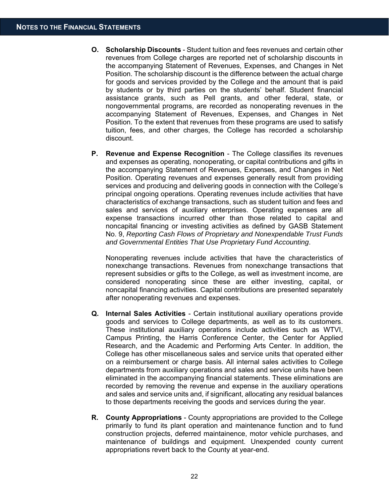- **O. Scholarship Discounts**  Student tuition and fees revenues and certain other revenues from College charges are reported net of scholarship discounts in the accompanying Statement of Revenues, Expenses, and Changes in Net Position. The scholarship discount is the difference between the actual charge for goods and services provided by the College and the amount that is paid by students or by third parties on the students' behalf. Student financial assistance grants, such as Pell grants, and other federal, state, or nongovernmental programs, are recorded as nonoperating revenues in the accompanying Statement of Revenues, Expenses, and Changes in Net Position. To the extent that revenues from these programs are used to satisfy tuition, fees, and other charges, the College has recorded a scholarship discount.
- **P.** Revenue and Expense Recognition The College classifies its revenues and expenses as operating, nonoperating, or capital contributions and gifts in the accompanying Statement of Revenues, Expenses, and Changes in Net Position. Operating revenues and expenses generally result from providing services and producing and delivering goods in connection with the College's principal ongoing operations. Operating revenues include activities that have characteristics of exchange transactions, such as student tuition and fees and sales and services of auxiliary enterprises. Operating expenses are all expense transactions incurred other than those related to capital and noncapital financing or investing activities as defined by GASB Statement No. 9, *Reporting Cash Flows of Proprietary and Nonexpendable Trust Funds and Governmental Entities That Use Proprietary Fund Accounting*.

Nonoperating revenues include activities that have the characteristics of nonexchange transactions. Revenues from nonexchange transactions that represent subsidies or gifts to the College, as well as investment income, are considered nonoperating since these are either investing, capital, or noncapital financing activities. Capital contributions are presented separately after nonoperating revenues and expenses.

- **Q. Internal Sales Activities**  Certain institutional auxiliary operations provide goods and services to College departments, as well as to its customers. These institutional auxiliary operations include activities such as WTVI, Campus Printing, the Harris Conference Center, the Center for Applied Research, and the Academic and Performing Arts Center. In addition, the College has other miscellaneous sales and service units that operated either on a reimbursement or charge basis. All internal sales activities to College departments from auxiliary operations and sales and service units have been eliminated in the accompanying financial statements. These eliminations are recorded by removing the revenue and expense in the auxiliary operations and sales and service units and, if significant, allocating any residual balances to those departments receiving the goods and services during the year.
- **R. County Appropriations**  County appropriations are provided to the College primarily to fund its plant operation and maintenance function and to fund construction projects, deferred maintainence, motor vehicle purchases, and maintenance of buildings and equipment. Unexpended county current appropriations revert back to the County at year-end.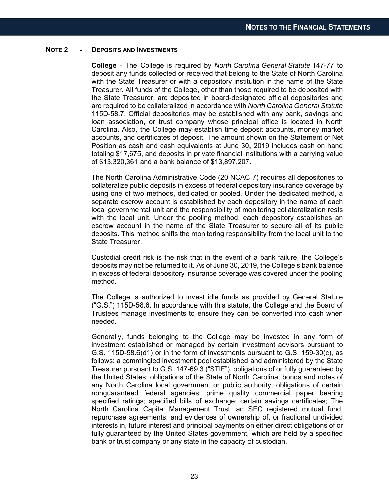#### **NOTE 2 - DEPOSITS AND INVESTMENTS**

**College** - The College is required by *North Carolina General Statute* 147-77 to deposit any funds collected or received that belong to the State of North Carolina with the State Treasurer or with a depository institution in the name of the State Treasurer. All funds of the College, other than those required to be deposited with the State Treasurer, are deposited in board-designated official depositories and are required to be collateralized in accordance with *North Carolina General Statute*  115D-58.7. Official depositories may be established with any bank, savings and loan association, or trust company whose principal office is located in North Carolina. Also, the College may establish time deposit accounts, money market accounts, and certificates of deposit. The amount shown on the Statement of Net Position as cash and cash equivalents at June 30, 2019 includes cash on hand totaling \$17,675, and deposits in private financial institutions with a carrying value of \$13,320,361 and a bank balance of \$13,897,207.

The North Carolina Administrative Code (20 NCAC 7) requires all depositories to collateralize public deposits in excess of federal depository insurance coverage by using one of two methods, dedicated or pooled. Under the dedicated method, a separate escrow account is established by each depository in the name of each local governmental unit and the responsibility of monitoring collateralization rests with the local unit. Under the pooling method, each depository establishes an escrow account in the name of the State Treasurer to secure all of its public deposits. This method shifts the monitoring responsibility from the local unit to the State Treasurer.

Custodial credit risk is the risk that in the event of a bank failure, the College's deposits may not be returned to it. As of June 30, 2019, the College's bank balance in excess of federal depository insurance coverage was covered under the pooling method.

The College is authorized to invest idle funds as provided by General Statute ("G.S.") 115D-58.6. In accordance with this statute, the College and the Board of Trustees manage investments to ensure they can be converted into cash when needed.

Generally, funds belonging to the College may be invested in any form of investment established or managed by certain investment advisors pursuant to G.S. 115D-58.6(d1) or in the form of investments pursuant to G.S. 159-30(c), as follows: a commingled investment pool established and administered by the State Treasurer pursuant to G.S. 147-69.3 ("STIF"), obligations of or fully guaranteed by the United States; obligations of the State of North Carolina; bonds and notes of any North Carolina local government or public authority; obligations of certain nonguaranteed federal agencies; prime quality commercial paper bearing specified ratings; specified bills of exchange; certain savings certificates; The North Carolina Capital Management Trust, an SEC registered mutual fund; repurchase agreements; and evidences of ownership of, or fractional undivided interests in, future interest and principal payments on either direct obligations of or fully guaranteed by the United States government, which are held by a specified bank or trust company or any state in the capacity of custodian.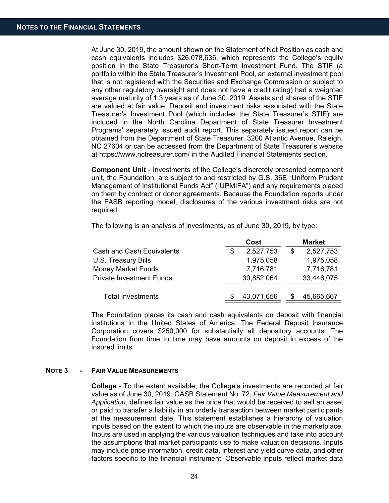At June 30, 2019, the amount shown on the Statement of Net Position as cash and cash equivalents includes \$26,078,636, which represents the College's equity position in the State Treasurer's Short-Term Investment Fund. The STIF (a portfolio within the State Treasurer's Investment Pool, an external investment pool that is not registered with the Securities and Exchange Commission or subject to any other regulatory oversight and does not have a credit rating) had a weighted average maturity of 1.3 years as of June 30, 2019. Assets and shares of the STIF are valued at fair value. Deposit and investment risks associated with the State Treasurer's Investment Pool (which includes the State Treasurer's STIF) are included in the North Carolina Department of State Treasurer Investment Programs' separately issued audit report. This separately issued report can be obtained from the Department of State Treasurer, 3200 Atlantic Avenue, Raleigh, NC 27604 or can be accessed from the Department of State Treasurer's website at https://www.nctreasurer.com/ in the Audited Financial Statements section.

**Component Unit** - Investments of the College's discretely presented component unit, the Foundation, are subject to and restricted by G.S. 36E "Uniform Prudent Management of Institutional Funds Act" ("UPMIFA") and any requirements placed on them by contract or donor agreements. Because the Foundation reports under the FASB reporting model, disclosures of the various investment risks are not required.

The following is an analysis of investments, as of June 30, 2019, by type:

|                                 |   | Cost       |   | <b>Market</b> |
|---------------------------------|---|------------|---|---------------|
| Cash and Cash Equivalents       | S | 2,527,753  | S | 2,527,753     |
| U.S. Treasury Bills             |   | 1,975,058  |   | 1,975,058     |
| <b>Money Market Funds</b>       |   | 7,716,781  |   | 7,716,781     |
| <b>Private Investment Funds</b> |   | 30,852,064 |   | 33,446,075    |
| <b>Total Investments</b>        |   | 43,071,656 |   | 45,665,667    |

The Foundation places its cash and cash equivalents on deposit with financial institutions in the United States of America. The Federal Deposit Insurance Corporation covers \$250,000 for substantially all depository accounts. The Foundation from time to time may have amounts on deposit in excess of the insured limits.

#### **NOTE 3 - FAIR VALUE MEASUREMENTS**

**College** - To the extent available, the College's investments are recorded at fair value as of June 30, 2019. GASB Statement No. 72, *Fair Value Measurement and Application*, defines fair value as the price that would be received to sell an asset or paid to transfer a liability in an orderly transaction between market participants at the measurement date. This statement establishes a hierarchy of valuation inputs based on the extent to which the inputs are observable in the marketplace. Inputs are used in applying the various valuation techniques and take into account the assumptions that market participants use to make valuation decisions. Inputs may include price information, credit data, interest and yield curve data, and other factors specific to the financial instrument. Observable inputs reflect market data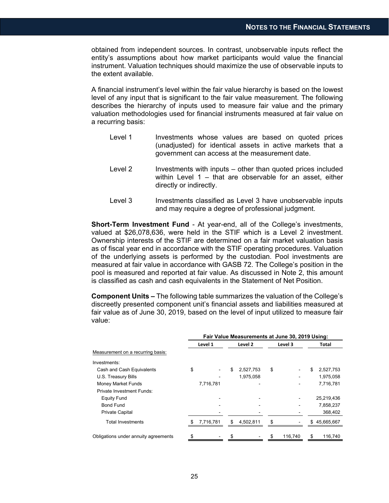obtained from independent sources. In contrast, unobservable inputs reflect the entity's assumptions about how market participants would value the financial instrument. Valuation techniques should maximize the use of observable inputs to the extent available.

A financial instrument's level within the fair value hierarchy is based on the lowest level of any input that is significant to the fair value measurement. The following describes the hierarchy of inputs used to measure fair value and the primary valuation methodologies used for financial instruments measured at fair value on a recurring basis:

- Level 1 Investments whose values are based on quoted prices (unadjusted) for identical assets in active markets that a government can access at the measurement date.
- Level  $2$  Investments with inputs  $-$  other than quoted prices included within Level 1 – that are observable for an asset, either directly or indirectly.
- Level 3 Investments classified as Level 3 have unobservable inputs and may require a degree of professional judgment.

**Short-Term Investment Fund** - At year-end, all of the College's investments, valued at \$26,078,636, were held in the STIF which is a Level 2 investment. Ownership interests of the STIF are determined on a fair market valuation basis as of fiscal year end in accordance with the STIF operating procedures. Valuation of the underlying assets is performed by the custodian. Pool investments are measured at fair value in accordance with GASB 72. The College's position in the pool is measured and reported at fair value. As discussed in Note 2, this amount is classified as cash and cash equivalents in the Statement of Net Position.

**Component Units –** The following table summarizes the valuation of the College's discreetly presented component unit's financial assets and liabilities measured at fair value as of June 30, 2019, based on the level of input utilized to measure fair value:

|                                      | Fair Value Measurements at June 30, 2019 Using: |           |    |           |    |         |    |            |  |  |
|--------------------------------------|-------------------------------------------------|-----------|----|-----------|----|---------|----|------------|--|--|
|                                      |                                                 | Level 1   |    | Level 2   |    | Level 3 |    | Total      |  |  |
| Measurement on a recurring basis:    |                                                 |           |    |           |    |         |    |            |  |  |
| Investments:                         |                                                 |           |    |           |    |         |    |            |  |  |
| Cash and Cash Equivalents            | \$                                              |           | \$ | 2,527,753 | \$ |         | \$ | 2,527,753  |  |  |
| U.S. Treasury Bills                  |                                                 |           |    | 1,975,058 |    |         |    | 1,975,058  |  |  |
| Money Market Funds                   |                                                 | 7,716,781 |    |           |    |         |    | 7,716,781  |  |  |
| <b>Private Investment Funds:</b>     |                                                 |           |    |           |    |         |    |            |  |  |
| <b>Equity Fund</b>                   |                                                 |           |    |           |    |         |    | 25,219,436 |  |  |
| <b>Bond Fund</b>                     |                                                 |           |    |           |    |         |    | 7,858,237  |  |  |
| <b>Private Capital</b>               |                                                 |           |    |           |    |         |    | 368,402    |  |  |
| <b>Total Investments</b>             |                                                 | 7,716,781 | \$ | 4,502,811 | \$ |         | \$ | 45,665,667 |  |  |
| Obligations under annuity agreements |                                                 |           |    |           |    | 116,740 |    | 116,740    |  |  |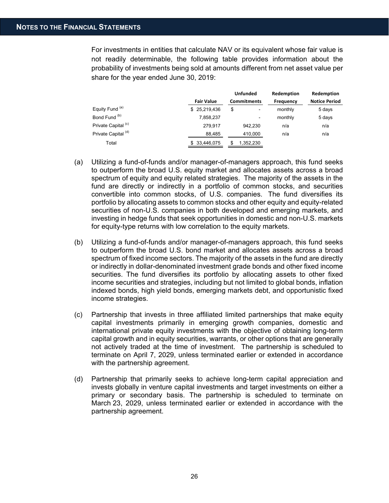For investments in entities that calculate NAV or its equivalent whose fair value is not readily determinable, the following table provides information about the probability of investments being sold at amounts different from net asset value per share for the year ended June 30, 2019:

|                                |                   | <b>Unfunded</b>      | Redemption | Redemption           |
|--------------------------------|-------------------|----------------------|------------|----------------------|
|                                | <b>Fair Value</b> | <b>Commitments</b>   | Frequency  | <b>Notice Period</b> |
| Equity Fund (a)                | \$25,219,436      | \$<br>$\blacksquare$ | monthly    | 5 days               |
| Bond Fund <sup>(b)</sup>       | 7,858,237         |                      | monthly    | 5 days               |
| Private Capital (c)            | 279.917           | 942.230              | n/a        | n/a                  |
| Private Capital <sup>(d)</sup> | 88.485            | 410,000              | n/a        | n/a                  |
| Total                          | \$ 33,446,075     | ,352,230             |            |                      |

- (a) Utilizing a fund-of-funds and/or manager-of-managers approach, this fund seeks to outperform the broad U.S. equity market and allocates assets across a broad spectrum of equity and equity related strategies. The majority of the assets in the fund are directly or indirectly in a portfolio of common stocks, and securities convertible into common stocks, of U.S. companies. The fund diversifies its portfolio by allocating assets to common stocks and other equity and equity-related securities of non-U.S. companies in both developed and emerging markets, and investing in hedge funds that seek opportunities in domestic and non-U.S. markets for equity-type returns with low correlation to the equity markets.
- (b) Utilizing a fund-of-funds and/or manager-of-managers approach, this fund seeks to outperform the broad U.S. bond market and allocates assets across a broad spectrum of fixed income sectors. The majority of the assets in the fund are directly or indirectly in dollar-denominated investment grade bonds and other fixed income securities. The fund diversifies its portfolio by allocating assets to other fixed income securities and strategies, including but not limited to global bonds, inflation indexed bonds, high yield bonds, emerging markets debt, and opportunistic fixed income strategies.
- (c) Partnership that invests in three affiliated limited partnerships that make equity capital investments primarily in emerging growth companies, domestic and international private equity investments with the objective of obtaining long-term capital growth and in equity securities, warrants, or other options that are generally not actively traded at the time of investment. The partnership is scheduled to terminate on April 7, 2029, unless terminated earlier or extended in accordance with the partnership agreement.
- (d) Partnership that primarily seeks to achieve long-term capital appreciation and invests globally in venture capital investments and target investments on either a primary or secondary basis. The partnership is scheduled to terminate on March 23, 2029, unless terminated earlier or extended in accordance with the partnership agreement.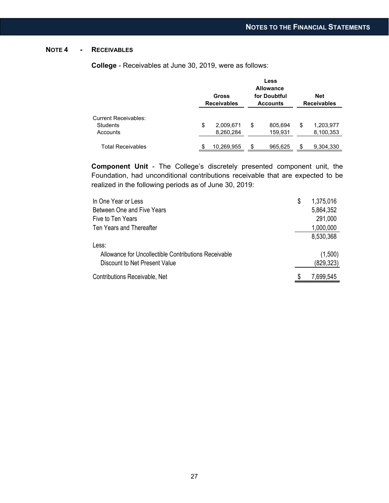# **NOTE 4 - RECEIVABLES**

**College** - Receivables at June 30, 2019, were as follows:

|                                                     |    | <b>Allowance</b><br>for Doubtful<br><b>Gross</b><br><b>Receivables</b><br><b>Accounts</b> |    |                    | <b>Net</b><br><b>Receivables</b> |                        |  |
|-----------------------------------------------------|----|-------------------------------------------------------------------------------------------|----|--------------------|----------------------------------|------------------------|--|
| Current Receivables:<br><b>Students</b><br>Accounts | \$ | 2,009,671<br>8,260,284                                                                    | \$ | 805,694<br>159,931 | \$                               | 1,203,977<br>8,100,353 |  |
| <b>Total Receivables</b>                            | S. | 10,269,955                                                                                | S. | 965,625            |                                  | 9,304,330              |  |

**Component Unit** - The College's discretely presented component unit, the Foundation, had unconditional contributions receivable that are expected to be realized in the following periods as of June 30, 2019:

| In One Year or Less                                  | \$<br>1,375,016 |
|------------------------------------------------------|-----------------|
| Between One and Five Years                           | 5,864,352       |
| Five to Ten Years                                    | 291,000         |
| Ten Years and Thereafter                             | 1,000,000       |
|                                                      | 8,530,368       |
| Less:                                                |                 |
| Allowance for Uncollectible Contributions Receivable | (1,500)         |
| Discount to Net Present Value                        | (829, 323)      |
| <b>Contributions Receivable, Net</b>                 | 7,699,545       |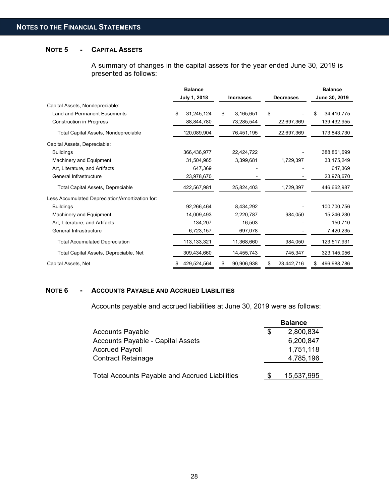# **NOTE 5 - CAPITAL ASSETS**

A summary of changes in the capital assets for the year ended June 30, 2019 is presented as follows:

|                                                 | <b>Balance</b>   |                  |                  | <b>Balance</b>   |
|-------------------------------------------------|------------------|------------------|------------------|------------------|
|                                                 | July 1, 2018     | <b>Increases</b> | <b>Decreases</b> | June 30, 2019    |
| Capital Assets, Nondepreciable:                 |                  |                  |                  |                  |
| <b>Land and Permanent Easements</b>             | \$<br>31,245,124 | 3,165,651<br>\$  | \$               | \$<br>34,410,775 |
| <b>Construction in Progress</b>                 | 88,844,780       | 73,285,544       | 22,697,369       | 139,432,955      |
| Total Capital Assets, Nondepreciable            | 120,089,904      | 76,451,195       | 22,697,369       | 173,843,730      |
| Capital Assets, Depreciable:                    |                  |                  |                  |                  |
| <b>Buildings</b>                                | 366,436,977      | 22,424,722       |                  | 388,861,699      |
| Machinery and Equipment                         | 31,504,965       | 3,399,681        | 1,729,397        | 33,175,249       |
| Art, Literature, and Artifacts                  | 647,369          |                  |                  | 647,369          |
| General Infrastructure                          | 23,978,670       |                  |                  | 23,978,670       |
| <b>Total Capital Assets, Depreciable</b>        | 422,567,981      | 25,824,403       | 1,729,397        | 446,662,987      |
| Less Accumulated Depreciation/Amortization for: |                  |                  |                  |                  |
| <b>Buildings</b>                                | 92,266,464       | 8,434,292        |                  | 100,700,756      |
| Machinery and Equipment                         | 14,009,493       | 2,220,787        | 984,050          | 15,246,230       |
| Art, Literature, and Artifacts                  | 134,207          | 16,503           |                  | 150,710          |
| General Infrastructure                          | 6,723,157        | 697,078          |                  | 7,420,235        |
| <b>Total Accumulated Depreciation</b>           | 113, 133, 321    | 11,368,660       | 984,050          | 123,517,931      |
| Total Capital Assets, Depreciable, Net          | 309,434,660      | 14,455,743       | 745,347          | 323,145,056      |
| Capital Assets, Net                             | 429,524,564      | 90,906,938       | 23,442,716<br>\$ | 496,988,786<br>S |

# **NOTE 6 - ACCOUNTS PAYABLE AND ACCRUED LIABILITIES**

Accounts payable and accrued liabilities at June 30, 2019 were as follows:

|                                                       |   | <b>Balance</b> |
|-------------------------------------------------------|---|----------------|
| <b>Accounts Payable</b>                               | S | 2,800,834      |
| Accounts Payable - Capital Assets                     |   | 6,200,847      |
| <b>Accrued Payroll</b>                                |   | 1,751,118      |
| <b>Contract Retainage</b>                             |   | 4,785,196      |
|                                                       |   |                |
| <b>Total Accounts Payable and Accrued Liabilities</b> |   | 15,537,995     |
|                                                       |   |                |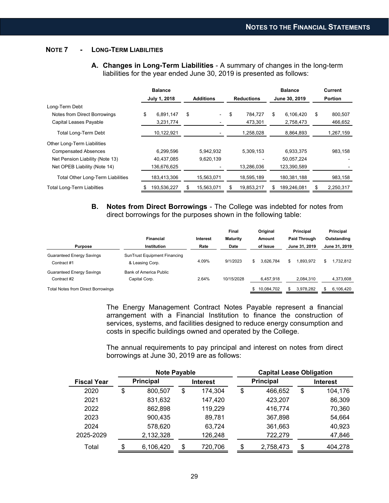### **NOTE 7 - LONG-TERM LIABILITIES**

|                                 | <b>Balance</b>  |                                |                   | <b>Balance</b>  | Current        |
|---------------------------------|-----------------|--------------------------------|-------------------|-----------------|----------------|
|                                 | July 1, 2018    | <b>Additions</b>               | <b>Reductions</b> | June 30, 2019   | <b>Portion</b> |
| Long-Term Debt                  |                 |                                |                   |                 |                |
| Notes from Direct Borrowings    | \$<br>6.891.147 | \$<br>$\overline{\phantom{0}}$ | \$<br>784.727     | \$<br>6,106,420 | \$<br>800,507  |
| Capital Leases Payable          | 3,231,774       |                                | 473,301           | 2,758,473       | 466,652        |
| Total Long-Term Debt            | 10,122,921      |                                | 1,258,028         | 8,864,893       | 1,267,159      |
| Other Long-Term Liabilities     |                 |                                |                   |                 |                |
| <b>Compensated Absences</b>     | 6,299,596       | 5,942,932                      | 5,309,153         | 6.933.375       | 983,158        |
| Net Pension Liability (Note 13) | 40,437,085      | 9,620,139                      |                   | 50,057,224      |                |

Total Other Long-Term Liabilities 183,413,306 15,563,071 18,595,189 180,381,188 983,158 Total Long-Term Liabilties \$ 193,536,227 \$ 15,563,071 \$ 19,853,217 \$ 189,246,081 \$ 2,250,317

Net OPEB Liability (Note 14) 136,676,625 13,286,036 123,390,589

**A. Changes in Long-Term Liabilities** - A summary of changes in the long-term liabilities for the year ended June 30, 2019 is presented as follows:

**B. Notes from Direct Borrowings** - The College was indebted for notes from direct borrowings for the purposes shown in the following table:

|                                                 |                                                 |                 | Final      | Original        | <b>Principal</b> | Principal     |
|-------------------------------------------------|-------------------------------------------------|-----------------|------------|-----------------|------------------|---------------|
|                                                 | <b>Financial</b>                                | <b>Interest</b> | Maturity   | Amount          | Paid Through     | Outstanding   |
| <b>Purpose</b>                                  | Institution                                     | Rate            | Date       | of Issue        | June 31, 2019    | June 31, 2019 |
| <b>Guaranteed Energy Savings</b><br>Contract #1 | SunTrust Equipment Financing<br>& Leasing Corp. | 4.09%           | 9/1/2023   | 3.626.784<br>\$ | 1.893.972        | 1.732.812     |
| <b>Guaranteed Energy Savings</b><br>Contract #2 | Bank of America Public<br>Capital Corp.         | 2.64%           | 10/15/2028 | 6,457,918       | 2.084.310        | 4,373,608     |
| <b>Total Notes from Direct Borrowings</b>       |                                                 |                 |            | 10,084,702      | 3.978.282        | 6,106,420     |

The Energy Management Contract Notes Payable represent a financial arrangement with a Financial Institution to finance the construction of services, systems, and facilities designed to reduce energy consumption and costs in specific buildings owned and operated by the College.

The annual requirements to pay principal and interest on notes from direct borrowings at June 30, 2019 are as follows:

|                    | <b>Capital Lease Obligation</b><br><b>Note Payable</b> |    |                 |    |                  |    |                 |
|--------------------|--------------------------------------------------------|----|-----------------|----|------------------|----|-----------------|
| <b>Fiscal Year</b> | <b>Principal</b>                                       |    | <b>Interest</b> |    | <b>Principal</b> |    | <b>Interest</b> |
| 2020               | \$<br>800,507                                          | \$ | 174,304         | \$ | 466,652          | \$ | 104,176         |
| 2021               | 831,632                                                |    | 147,420         |    | 423,207          |    | 86,309          |
| 2022               | 862,898                                                |    | 119,229         |    | 416,774          |    | 70,360          |
| 2023               | 900,435                                                |    | 89,781          |    | 367,898          |    | 54,664          |
| 2024               | 578,620                                                |    | 63,724          |    | 361,663          |    | 40,923          |
| 2025-2029          | 2,132,328                                              |    | 126,248         |    | 722,279          |    | 47,846          |
| Total              | \$<br>6,106,420                                        | \$ | 720,706         | \$ | 2,758,473        | \$ | 404,278         |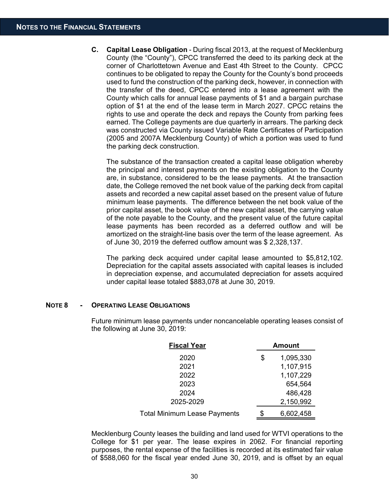**C. Capital Lease Obligation** - During fiscal 2013, at the request of Mecklenburg County (the "County"), CPCC transferred the deed to its parking deck at the corner of Charlottetown Avenue and East 4th Street to the County. CPCC continues to be obligated to repay the County for the County's bond proceeds used to fund the construction of the parking deck, however, in connection with the transfer of the deed, CPCC entered into a lease agreement with the County which calls for annual lease payments of \$1 and a bargain purchase option of \$1 at the end of the lease term in March 2027. CPCC retains the rights to use and operate the deck and repays the County from parking fees earned. The College payments are due quarterly in arrears. The parking deck was constructed via County issued Variable Rate Certificates of Participation (2005 and 2007A Mecklenburg County) of which a portion was used to fund the parking deck construction.

The substance of the transaction created a capital lease obligation whereby the principal and interest payments on the existing obligation to the County are, in substance, considered to be the lease payments. At the transaction date, the College removed the net book value of the parking deck from capital assets and recorded a new capital asset based on the present value of future minimum lease payments. The difference between the net book value of the prior capital asset, the book value of the new capital asset, the carrying value of the note payable to the County, and the present value of the future capital lease payments has been recorded as a deferred outflow and will be amortized on the straight-line basis over the term of the lease agreement. As of June 30, 2019 the deferred outflow amount was \$ 2,328,137.

The parking deck acquired under capital lease amounted to \$5,812,102. Depreciation for the capital assets associated with capital leases is included in depreciation expense, and accumulated depreciation for assets acquired under capital lease totaled \$883,078 at June 30, 2019.

### **NOTE 8 - OPERATING LEASE OBLIGATIONS**

Future minimum lease payments under noncancelable operating leases consist of the following at June 30, 2019:

| <b>Fiscal Year</b>                  | <b>Amount</b>   |
|-------------------------------------|-----------------|
| 2020                                | \$<br>1,095,330 |
| 2021                                | 1,107,915       |
| 2022                                | 1,107,229       |
| 2023                                | 654,564         |
| 2024                                | 486,428         |
| 2025-2029                           | 2,150,992       |
| <b>Total Minimum Lease Payments</b> | \$<br>6,602,458 |

Mecklenburg County leases the building and land used for WTVI operations to the College for \$1 per year. The lease expires in 2062. For financial reporting purposes, the rental expense of the facilities is recorded at its estimated fair value of \$588,060 for the fiscal year ended June 30, 2019, and is offset by an equal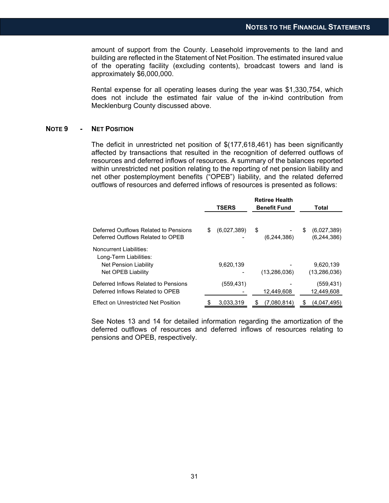amount of support from the County. Leasehold improvements to the land and building are reflected in the Statement of Net Position. The estimated insured value of the operating facility (excluding contents), broadcast towers and land is approximately \$6,000,000.

Rental expense for all operating leases during the year was \$1,330,754, which does not include the estimated fair value of the in-kind contribution from Mecklenburg County discussed above.

#### **NOTE 9 - NET POSITION**

The deficit in unrestricted net position of \$(177,618,461) has been significantly affected by transactions that resulted in the recognition of deferred outflows of resources and deferred inflows of resources. A summary of the balances reported within unrestricted net position relating to the reporting of net pension liability and net other postemployment benefits ("OPEB") liability, and the related deferred outflows of resources and deferred inflows of resources is presented as follows:

|                                                                                                  |   | <b>TSERS</b> | <b>Retiree Health</b><br><b>Benefit Fund</b> |                |   | Total                       |
|--------------------------------------------------------------------------------------------------|---|--------------|----------------------------------------------|----------------|---|-----------------------------|
| Deferred Outflows Related to Pensions<br>Deferred Outflows Related to OPEB                       | S | (6.027.389)  | \$                                           | (6, 244, 386)  | S | (6,027,389)<br>(6,244,386)  |
| Noncurrent Liabilities:<br>Long-Term Liabilities:<br>Net Pension Liability<br>Net OPEB Liability |   | 9,620,139    |                                              | (13, 286, 036) |   | 9,620,139<br>(13, 286, 036) |
| Deferred Inflows Related to Pensions<br>Deferred Inflows Related to OPEB                         |   | (559,431)    |                                              | 12.449.608     |   | (559, 431)<br>12.449.608    |
| <b>Effect on Unrestricted Net Position</b>                                                       |   | 3.033.319    | S                                            | (7.080.814)    |   | (4.047.495)                 |

See Notes 13 and 14 for detailed information regarding the amortization of the deferred outflows of resources and deferred inflows of resources relating to pensions and OPEB, respectively.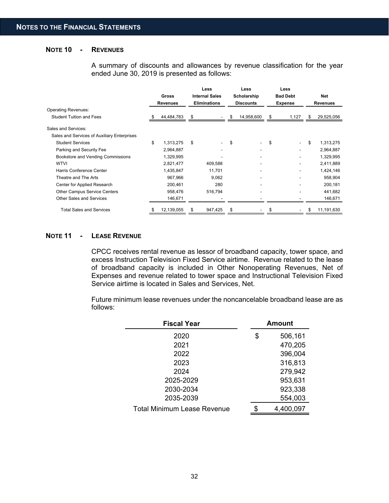# **NOTE 10 - REVENUES**

A summary of discounts and allowances by revenue classification for the year ended June 30, 2019 is presented as follows:

|                                             | <b>Gross</b><br><b>Revenues</b> |            | Less<br><b>Internal Sales</b><br><b>Eliminations</b> |         |    | Less<br>Scholarship<br><b>Discounts</b> | Less<br><b>Bad Debt</b><br><b>Expense</b> |       | <b>Net</b><br><b>Revenues</b> |
|---------------------------------------------|---------------------------------|------------|------------------------------------------------------|---------|----|-----------------------------------------|-------------------------------------------|-------|-------------------------------|
| <b>Operating Revenues:</b>                  |                                 |            |                                                      |         |    |                                         |                                           |       |                               |
| <b>Student Tuition and Fees</b>             |                                 | 44,484,783 | \$                                                   |         | S  | 14,958,600                              | \$                                        | 1,127 | \$<br>29,525,056              |
| Sales and Services:                         |                                 |            |                                                      |         |    |                                         |                                           |       |                               |
| Sales and Services of Auxiliary Enterprises |                                 |            |                                                      |         |    |                                         |                                           |       |                               |
| <b>Student Services</b>                     | \$                              | 1,313,275  | \$                                                   |         | \$ |                                         | \$                                        |       | \$<br>1,313,275               |
| Parking and Security Fee                    |                                 | 2,964,887  |                                                      |         |    |                                         |                                           |       | 2,964,887                     |
| Bookstore and Vending Commissions           |                                 | 1,329,995  |                                                      |         |    |                                         |                                           |       | 1,329,995                     |
| <b>WTVI</b>                                 |                                 | 2,821,477  |                                                      | 409,588 |    |                                         |                                           |       | 2,411,889                     |
| Harris Conference Center                    |                                 | 1,435,847  |                                                      | 11,701  |    |                                         |                                           |       | 1,424,146                     |
| Theatre and The Arts                        |                                 | 967,966    |                                                      | 9,062   |    |                                         |                                           |       | 958,904                       |
| Center for Applied Research                 |                                 | 200,461    |                                                      | 280     |    |                                         |                                           |       | 200,181                       |
| <b>Other Campus Service Centers</b>         |                                 | 958,476    |                                                      | 516,794 |    |                                         |                                           |       | 441,682                       |
| Other Sales and Services                    |                                 | 146,671    |                                                      |         |    |                                         |                                           |       | 146,671                       |
| <b>Total Sales and Services</b>             |                                 | 12,139,055 | \$                                                   | 947,425 | \$ |                                         |                                           |       | \$<br>11,191,630              |

# **NOTE 11 - LEASE REVENUE**

CPCC receives rental revenue as lessor of broadband capacity, tower space, and excess Instruction Television Fixed Service airtime. Revenue related to the lease of broadband capacity is included in Other Nonoperating Revenues, Net of Expenses and revenue related to tower space and Instructional Television Fixed Service airtime is located in Sales and Services, Net.

Future minimum lease revenues under the noncancelable broadband lease are as follows:

| <b>Fiscal Year</b>          | <b>Amount</b> |
|-----------------------------|---------------|
| 2020                        | \$<br>506,161 |
| 2021                        | 470,205       |
| 2022                        | 396,004       |
| 2023                        | 316,813       |
| 2024                        | 279,942       |
| 2025-2029                   | 953,631       |
| 2030-2034                   | 923,338       |
| 2035-2039                   | 554,003       |
| Total Minimum Lease Revenue | 4,400,097     |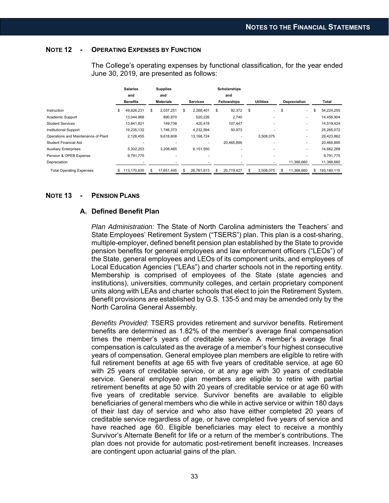### **NOTE 12 - OPERATING EXPENSES BY FUNCTION**

The College's operating expenses by functional classification, for the year ended June 30, 2019, are presented as follows:

|                                     | <b>Salaries</b>  |    | <b>Supplies</b>  |                 |              |                    | <b>Scholarships</b> |                  |                          |              |            |       |             |
|-------------------------------------|------------------|----|------------------|-----------------|--------------|--------------------|---------------------|------------------|--------------------------|--------------|------------|-------|-------------|
|                                     | and              |    | and              |                 |              |                    | and                 |                  |                          |              |            |       |             |
|                                     | <b>Benefits</b>  |    | <b>Materials</b> | <b>Services</b> |              | <b>Fellowships</b> |                     | <b>Utilities</b> |                          | Depreciation |            | Total |             |
| Instruction                         | 49,826,231<br>\$ | \$ | 2,037,251        | \$              | 2.268.401    | S                  | 92,372              | \$               |                          | \$           | ۰.         |       | 54,224,255  |
| Academic Support                    | 13,044,968       |    | 890,970          |                 | 520,226      |                    | 2,740               |                  |                          |              | ۰          |       | 14,458,904  |
| <b>Student Services</b>             | 13,841,821       |    | 149,738          |                 | 420,418      |                    | 107,447             |                  |                          |              | ٠.         |       | 14,519,424  |
| Institutional Support               | 19,235,132       |    | 1,746,373        |                 | 4,232,594    |                    | 50,973              |                  |                          |              | ۰          |       | 25,265,072  |
| Operations and Maintenance of Plant | 2,128,455        |    | 9,618,608        |                 | 13, 168, 724 |                    |                     |                  | 3,508,075                |              | ۰          |       | 28,423,862  |
| Student Financial Aid               |                  |    |                  |                 |              |                    | 20,465,895          |                  |                          |              | ٠.         |       | 20,465,895  |
| <b>Auxiliary Enterprises</b>        | 5,302,253        |    | 3,208,465        |                 | 6,151,550    |                    |                     |                  |                          |              | ٠.         |       | 14,662,268  |
| Pension & OPEB Expense              | 9,791,775        |    |                  |                 |              |                    | ۰                   |                  | $\overline{\phantom{a}}$ |              | ۰          |       | 9,791,775   |
| Depreciation                        |                  |    |                  |                 |              |                    |                     |                  |                          |              | 11,368,660 |       | 11,368,660  |
| <b>Total Operating Expenses</b>     | 113,170,635      |    | 17,651,405       |                 | 26,761,913   |                    | 20,719,427          |                  | 3,508,075                |              | 11,368,660 |       | 193,180,115 |

#### **NOTE 13 - PENSION PLANS**

#### **A. Defined Benefit Plan**

*Plan Administration:* The State of North Carolina administers the Teachers' and State Employees' Retirement System ("TSERS") plan. This plan is a cost-sharing, multiple-employer, defined benefit pension plan established by the State to provide pension benefits for general employees and law enforcement officers ("LEOs") of the State, general employees and LEOs of its component units, and employees of Local Education Agencies ("LEAs") and charter schools not in the reporting entity. Membership is comprised of employees of the State (state agencies and institutions), universities, community colleges, and certain proprietary component units along with LEAs and charter schools that elect to join the Retirement System. Benefit provisions are established by G.S. 135-5 and may be amended only by the North Carolina General Assembly.

*Benefits Provided*: TSERS provides retirement and survivor benefits. Retirement benefits are determined as 1.82% of the member's average final compensation times the member's years of creditable service. A member's average final compensation is calculated as the average of a member's four highest consecutive years of compensation. General employee plan members are eligible to retire with full retirement benefits at age 65 with five years of creditable service, at age 60 with 25 years of creditable service, or at any age with 30 years of creditable service. General employee plan members are eligible to retire with partial retirement benefits at age 50 with 20 years of creditable service or at age 60 with five years of creditable service. Survivor benefits are available to eligible beneficiaries of general members who die while in active service or within 180 days of their last day of service and who also have either completed 20 years of creditable service regardless of age, or have completed five years of service and have reached age 60. Eligible beneficiaries may elect to receive a monthly Survivor's Alternate Benefit for life or a return of the member's contributions. The plan does not provide for automatic post-retirement benefit increases. Increases are contingent upon actuarial gains of the plan.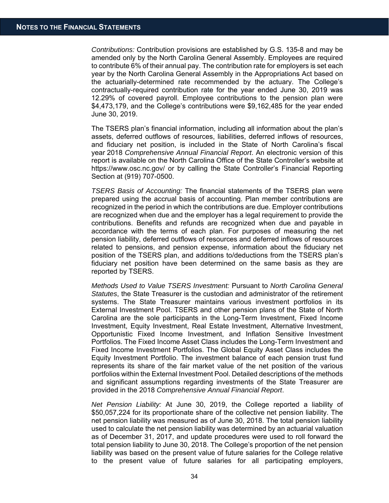*Contributions:* Contribution provisions are established by G.S. 135-8 and may be amended only by the North Carolina General Assembly. Employees are required to contribute 6% of their annual pay. The contribution rate for employers is set each year by the North Carolina General Assembly in the Appropriations Act based on the actuarially-determined rate recommended by the actuary. The College's contractually-required contribution rate for the year ended June 30, 2019 was 12.29% of covered payroll. Employee contributions to the pension plan were \$4,473,179, and the College's contributions were \$9,162,485 for the year ended June 30, 2019.

The TSERS plan's financial information, including all information about the plan's assets, deferred outflows of resources, liabilities, deferred inflows of resources, and fiduciary net position, is included in the State of North Carolina's fiscal year 2018 *Comprehensive Annual Financial Report*. An electronic version of this report is available on the North Carolina Office of the State Controller's website at https://www.osc.nc.gov/ or by calling the State Controller's Financial Reporting Section at (919) 707-0500.

*TSERS Basis of Accounting:* The financial statements of the TSERS plan were prepared using the accrual basis of accounting. Plan member contributions are recognized in the period in which the contributions are due. Employer contributions are recognized when due and the employer has a legal requirement to provide the contributions. Benefits and refunds are recognized when due and payable in accordance with the terms of each plan. For purposes of measuring the net pension liability, deferred outflows of resources and deferred inflows of resources related to pensions, and pension expense, information about the fiduciary net position of the TSERS plan, and additions to/deductions from the TSERS plan's fiduciary net position have been determined on the same basis as they are reported by TSERS.

*Methods Used to Value TSERS Investment:* Pursuant to *North Carolina General Statutes*, the State Treasurer is the custodian and administrator of the retirement systems. The State Treasurer maintains various investment portfolios in its External Investment Pool. TSERS and other pension plans of the State of North Carolina are the sole participants in the Long-Term Investment, Fixed Income Investment, Equity Investment, Real Estate Investment, Alternative Investment, Opportunistic Fixed Income Investment, and Inflation Sensitive Investment Portfolios. The Fixed Income Asset Class includes the Long-Term Investment and Fixed Income Investment Portfolios. The Global Equity Asset Class includes the Equity Investment Portfolio. The investment balance of each pension trust fund represents its share of the fair market value of the net position of the various portfolios within the External Investment Pool. Detailed descriptions of the methods and significant assumptions regarding investments of the State Treasurer are provided in the 2018 *Comprehensive Annual Financial Report*.

*Net Pension Liability:* At June 30, 2019, the College reported a liability of \$50,057,224 for its proportionate share of the collective net pension liability. The net pension liability was measured as of June 30, 2018. The total pension liability used to calculate the net pension liability was determined by an actuarial valuation as of December 31, 2017, and update procedures were used to roll forward the total pension liability to June 30, 2018. The College's proportion of the net pension liability was based on the present value of future salaries for the College relative to the present value of future salaries for all participating employers,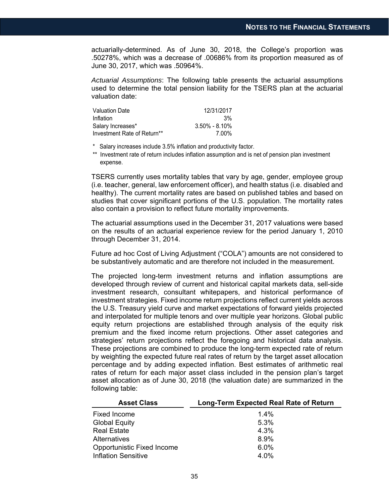actuarially-determined. As of June 30, 2018, the College's proportion was .50278%, which was a decrease of .00686% from its proportion measured as of June 30, 2017, which was .50964%.

*Actuarial Assumptions*: The following table presents the actuarial assumptions used to determine the total pension liability for the TSERS plan at the actuarial valuation date:

| <b>Valuation Date</b>       | 12/31/2017        |
|-----------------------------|-------------------|
| Inflation                   | 3%                |
| Salary Increases*           | $3.50\% - 8.10\%$ |
| Investment Rate of Return** | 7.00%             |

- Salary increases include 3.5% inflation and productivity factor.
- \*\* Investment rate of return includes inflation assumption and is net of pension plan investment expense.

TSERS currently uses mortality tables that vary by age, gender, employee group (i.e. teacher, general, law enforcement officer), and health status (i.e. disabled and healthy). The current mortality rates are based on published tables and based on studies that cover significant portions of the U.S. population. The mortality rates also contain a provision to reflect future mortality improvements.

The actuarial assumptions used in the December 31, 2017 valuations were based on the results of an actuarial experience review for the period January 1, 2010 through December 31, 2014.

Future ad hoc Cost of Living Adjustment ("COLA") amounts are not considered to be substantively automatic and are therefore not included in the measurement.

The projected long-term investment returns and inflation assumptions are developed through review of current and historical capital markets data, sell-side investment research, consultant whitepapers, and historical performance of investment strategies. Fixed income return projections reflect current yields across the U.S. Treasury yield curve and market expectations of forward yields projected and interpolated for multiple tenors and over multiple year horizons. Global public equity return projections are established through analysis of the equity risk premium and the fixed income return projections. Other asset categories and strategies' return projections reflect the foregoing and historical data analysis. These projections are combined to produce the long-term expected rate of return by weighting the expected future real rates of return by the target asset allocation percentage and by adding expected inflation. Best estimates of arithmetic real rates of return for each major asset class included in the pension plan's target asset allocation as of June 30, 2018 (the valuation date) are summarized in the following table:

| <b>Asset Class</b>         | <b>Long-Term Expected Real Rate of Return</b> |  |  |  |  |
|----------------------------|-----------------------------------------------|--|--|--|--|
| Fixed Income               | $1.4\%$                                       |  |  |  |  |
| <b>Global Equity</b>       | 5.3%                                          |  |  |  |  |
| <b>Real Estate</b>         | 4.3%                                          |  |  |  |  |
| <b>Alternatives</b>        | 8.9%                                          |  |  |  |  |
| Opportunistic Fixed Income | $6.0\%$                                       |  |  |  |  |
| <b>Inflation Sensitive</b> | 4.0%                                          |  |  |  |  |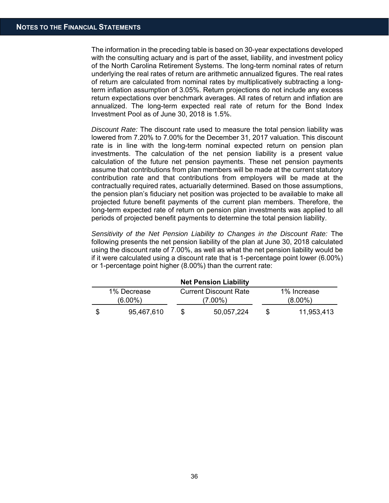The information in the preceding table is based on 30-year expectations developed with the consulting actuary and is part of the asset, liability, and investment policy of the North Carolina Retirement Systems. The long-term nominal rates of return underlying the real rates of return are arithmetic annualized figures. The real rates of return are calculated from nominal rates by multiplicatively subtracting a longterm inflation assumption of 3.05%. Return projections do not include any excess return expectations over benchmark averages. All rates of return and inflation are annualized. The long-term expected real rate of return for the Bond Index Investment Pool as of June 30, 2018 is 1.5%.

*Discount Rate:* The discount rate used to measure the total pension liability was lowered from 7.20% to 7.00% for the December 31, 2017 valuation. This discount rate is in line with the long-term nominal expected return on pension plan investments. The calculation of the net pension liability is a present value calculation of the future net pension payments. These net pension payments assume that contributions from plan members will be made at the current statutory contribution rate and that contributions from employers will be made at the contractually required rates, actuarially determined. Based on those assumptions, the pension plan's fiduciary net position was projected to be available to make all projected future benefit payments of the current plan members. Therefore, the long-term expected rate of return on pension plan investments was applied to all periods of projected benefit payments to determine the total pension liability.

*Sensitivity of the Net Pension Liability to Changes in the Discount Rate:* The following presents the net pension liability of the plan at June 30, 2018 calculated using the discount rate of 7.00%, as well as what the net pension liability would be if it were calculated using a discount rate that is 1-percentage point lower (6.00%) or 1-percentage point higher (8.00%) than the current rate:

| <b>Net Pension Liability</b> |  |                              |             |            |  |  |  |  |
|------------------------------|--|------------------------------|-------------|------------|--|--|--|--|
| 1% Decrease                  |  | <b>Current Discount Rate</b> | 1% Increase |            |  |  |  |  |
| (6.00%)                      |  | $(7.00\%)$                   |             | $(8.00\%)$ |  |  |  |  |
| 95,467,610                   |  | 50,057,224                   | \$.         | 11,953,413 |  |  |  |  |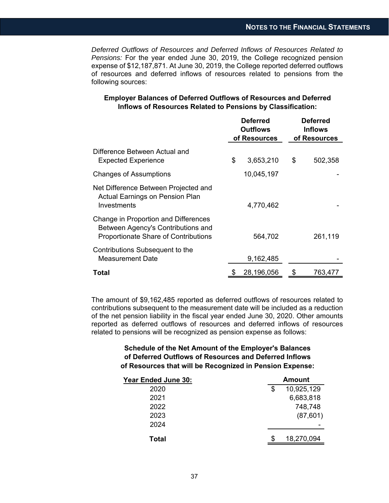*Deferred Outflows of Resources and Deferred Inflows of Resources Related to Pensions:* For the year ended June 30, 2019, the College recognized pension expense of \$12,187,871. At June 30, 2019, the College reported deferred outflows of resources and deferred inflows of resources related to pensions from the following sources:

|                                                                                                                           | <b>Deferred</b><br><b>Outflows</b><br>of Resources |    | <b>Deferred</b><br><b>Inflows</b><br>of Resources |
|---------------------------------------------------------------------------------------------------------------------------|----------------------------------------------------|----|---------------------------------------------------|
| Difference Between Actual and<br><b>Expected Experience</b>                                                               | \$<br>3,653,210                                    | \$ | 502,358                                           |
| <b>Changes of Assumptions</b>                                                                                             | 10,045,197                                         |    |                                                   |
| Net Difference Between Projected and<br><b>Actual Earnings on Pension Plan</b><br>Investments                             | 4,770,462                                          |    |                                                   |
| Change in Proportion and Differences<br>Between Agency's Contributions and<br><b>Proportionate Share of Contributions</b> | 564,702                                            |    | 261,119                                           |
| Contributions Subsequent to the<br><b>Measurement Date</b>                                                                | 9,162,485                                          |    |                                                   |
| Total                                                                                                                     | \$<br>28,196,056                                   | \$ | 763,477                                           |

# **Employer Balances of Deferred Outflows of Resources and Deferred Inflows of Resources Related to Pensions by Classification:**

The amount of \$9,162,485 reported as deferred outflows of resources related to contributions subsequent to the measurement date will be included as a reduction of the net pension liability in the fiscal year ended June 30, 2020. Other amounts reported as deferred outflows of resources and deferred inflows of resources related to pensions will be recognized as pension expense as follows:

# **Schedule of the Net Amount of the Employer's Balances of Deferred Outflows of Resources and Deferred Inflows of Resources that will be Recognized in Pension Expense:**

| <b>Year Ended June 30:</b> |    | <b>Amount</b> |
|----------------------------|----|---------------|
| 2020                       | \$ | 10,925,129    |
| 2021                       |    | 6,683,818     |
| 2022                       |    | 748,748       |
| 2023                       |    | (87, 601)     |
| 2024                       |    |               |
| <b>Total</b>               |    | 18,270,094    |
|                            |    |               |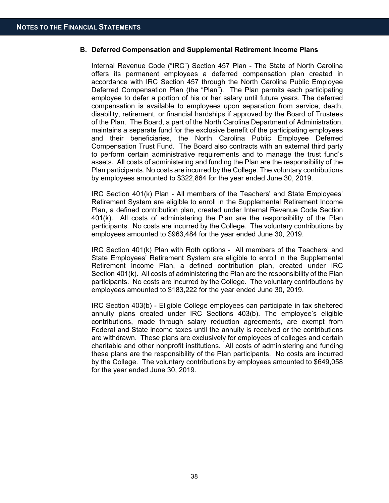#### **B. Deferred Compensation and Supplemental Retirement Income Plans**

Internal Revenue Code ("IRC") Section 457 Plan - The State of North Carolina offers its permanent employees a deferred compensation plan created in accordance with IRC Section 457 through the North Carolina Public Employee Deferred Compensation Plan (the "Plan"). The Plan permits each participating employee to defer a portion of his or her salary until future years. The deferred compensation is available to employees upon separation from service, death, disability, retirement, or financial hardships if approved by the Board of Trustees of the Plan. The Board, a part of the North Carolina Department of Administration, maintains a separate fund for the exclusive benefit of the participating employees and their beneficiaries, the North Carolina Public Employee Deferred Compensation Trust Fund. The Board also contracts with an external third party to perform certain administrative requirements and to manage the trust fund's assets. All costs of administering and funding the Plan are the responsibility of the Plan participants. No costs are incurred by the College. The voluntary contributions by employees amounted to \$322,864 for the year ended June 30, 2019.

IRC Section 401(k) Plan - All members of the Teachers' and State Employees' Retirement System are eligible to enroll in the Supplemental Retirement Income Plan, a defined contribution plan, created under Internal Revenue Code Section 401(k). All costs of administering the Plan are the responsibility of the Plan participants. No costs are incurred by the College. The voluntary contributions by employees amounted to \$963,484 for the year ended June 30, 2019.

IRC Section 401(k) Plan with Roth options - All members of the Teachers' and State Employees' Retirement System are eligible to enroll in the Supplemental Retirement Income Plan, a defined contribution plan, created under IRC Section 401(k). All costs of administering the Plan are the responsibility of the Plan participants. No costs are incurred by the College. The voluntary contributions by employees amounted to \$183,222 for the year ended June 30, 2019.

IRC Section 403(b) - Eligible College employees can participate in tax sheltered annuity plans created under IRC Sections 403(b). The employee's eligible contributions, made through salary reduction agreements, are exempt from Federal and State income taxes until the annuity is received or the contributions are withdrawn. These plans are exclusively for employees of colleges and certain charitable and other nonprofit institutions. All costs of administering and funding these plans are the responsibility of the Plan participants. No costs are incurred by the College. The voluntary contributions by employees amounted to \$649,058 for the year ended June 30, 2019.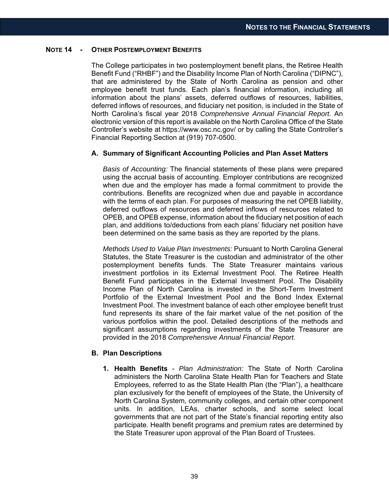#### **NOTE 14 - OTHER POSTEMPLOYMENT BENEFITS**

The College participates in two postemployment benefit plans, the Retiree Health Benefit Fund ("RHBF") and the Disability Income Plan of North Carolina ("DIPNC"), that are administered by the State of North Carolina as pension and other employee benefit trust funds. Each plan's financial information, including all information about the plans' assets, deferred outflows of resources, liabilities, deferred inflows of resources, and fiduciary net position, is included in the State of North Carolina's fiscal year 2018 *Comprehensive Annual Financial Report.* An electronic version of this report is available on the North Carolina Office of the State Controller's website at https://www.osc.nc.gov/ or by calling the State Controller's Financial Reporting Section at (919) 707-0500.

### **A. Summary of Significant Accounting Policies and Plan Asset Matters**

*Basis of Accounting:* The financial statements of these plans were prepared using the accrual basis of accounting. Employer contributions are recognized when due and the employer has made a formal commitment to provide the contributions. Benefits are recognized when due and payable in accordance with the terms of each plan. For purposes of measuring the net OPEB liability, deferred outflows of resources and deferred inflows of resources related to OPEB, and OPEB expense, information about the fiduciary net position of each plan, and additions to/deductions from each plans' fiduciary net position have been determined on the same basis as they are reported by the plans.

*Methods Used to Value Plan Investments:* Pursuant to North Carolina General Statutes, the State Treasurer is the custodian and administrator of the other postemployment benefits funds. The State Treasurer maintains various investment portfolios in its External Investment Pool. The Retiree Health Benefit Fund participates in the External Investment Pool. The Disability Income Plan of North Carolina is invested in the Short-Term Investment Portfolio of the External Investment Pool and the Bond Index External Investment Pool. The investment balance of each other employee benefit trust fund represents its share of the fair market value of the net position of the various portfolios within the pool. Detailed descriptions of the methods and significant assumptions regarding investments of the State Treasurer are provided in the 2018 *Comprehensive Annual Financial Report.*

### **B. Plan Descriptions**

**1. Health Benefits** - *Plan Administration:* The State of North Carolina administers the North Carolina State Health Plan for Teachers and State Employees, referred to as the State Health Plan (the "Plan"), a healthcare plan exclusively for the benefit of employees of the State, the University of North Carolina System, community colleges, and certain other component units. In addition, LEAs, charter schools, and some select local governments that are not part of the State's financial reporting entity also participate. Health benefit programs and premium rates are determined by the State Treasurer upon approval of the Plan Board of Trustees.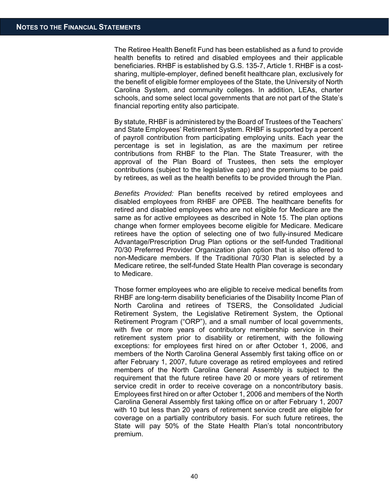The Retiree Health Benefit Fund has been established as a fund to provide health benefits to retired and disabled employees and their applicable beneficiaries. RHBF is established by G.S. 135-7, Article 1. RHBF is a costsharing, multiple-employer, defined benefit healthcare plan, exclusively for the benefit of eligible former employees of the State, the University of North Carolina System, and community colleges. In addition, LEAs, charter schools, and some select local governments that are not part of the State's financial reporting entity also participate.

By statute, RHBF is administered by the Board of Trustees of the Teachers' and State Employees' Retirement System. RHBF is supported by a percent of payroll contribution from participating employing units. Each year the percentage is set in legislation, as are the maximum per retiree contributions from RHBF to the Plan. The State Treasurer, with the approval of the Plan Board of Trustees, then sets the employer contributions (subject to the legislative cap) and the premiums to be paid by retirees, as well as the health benefits to be provided through the Plan.

*Benefits Provided:* Plan benefits received by retired employees and disabled employees from RHBF are OPEB. The healthcare benefits for retired and disabled employees who are not eligible for Medicare are the same as for active employees as described in Note 15. The plan options change when former employees become eligible for Medicare. Medicare retirees have the option of selecting one of two fully-insured Medicare Advantage/Prescription Drug Plan options or the self-funded Traditional 70/30 Preferred Provider Organization plan option that is also offered to non-Medicare members. If the Traditional 70/30 Plan is selected by a Medicare retiree, the self-funded State Health Plan coverage is secondary to Medicare.

Those former employees who are eligible to receive medical benefits from RHBF are long-term disability beneficiaries of the Disability Income Plan of North Carolina and retirees of TSERS, the Consolidated Judicial Retirement System, the Legislative Retirement System, the Optional Retirement Program ("ORP"), and a small number of local governments, with five or more years of contributory membership service in their retirement system prior to disability or retirement, with the following exceptions: for employees first hired on or after October 1, 2006, and members of the North Carolina General Assembly first taking office on or after February 1, 2007, future coverage as retired employees and retired members of the North Carolina General Assembly is subject to the requirement that the future retiree have 20 or more years of retirement service credit in order to receive coverage on a noncontributory basis. Employees first hired on or after October 1, 2006 and members of the North Carolina General Assembly first taking office on or after February 1, 2007 with 10 but less than 20 years of retirement service credit are eligible for coverage on a partially contributory basis. For such future retirees, the State will pay 50% of the State Health Plan's total noncontributory premium.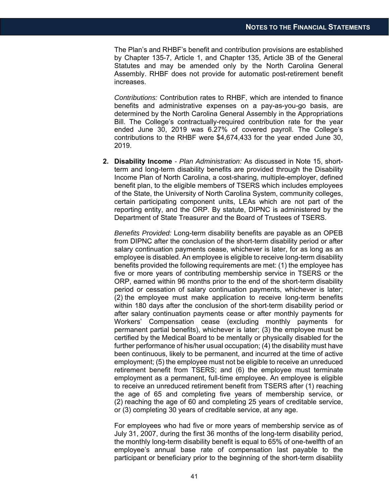The Plan's and RHBF's benefit and contribution provisions are established by Chapter 135-7, Article 1, and Chapter 135, Article 3B of the General Statutes and may be amended only by the North Carolina General Assembly. RHBF does not provide for automatic post-retirement benefit increases.

*Contributions:* Contribution rates to RHBF, which are intended to finance benefits and administrative expenses on a pay-as-you-go basis, are determined by the North Carolina General Assembly in the Appropriations Bill. The College's contractually-required contribution rate for the year ended June 30, 2019 was 6.27% of covered payroll. The College's contributions to the RHBF were \$4,674,433 for the year ended June 30, 2019.

**2. Disability Income** *- Plan Administration:* As discussed in Note 15, shortterm and long-term disability benefits are provided through the Disability Income Plan of North Carolina, a cost-sharing, multiple-employer, defined benefit plan, to the eligible members of TSERS which includes employees of the State, the University of North Carolina System, community colleges, certain participating component units, LEAs which are not part of the reporting entity, and the ORP. By statute, DIPNC is administered by the Department of State Treasurer and the Board of Trustees of TSERS.

*Benefits Provided:* Long-term disability benefits are payable as an OPEB from DIPNC after the conclusion of the short-term disability period or after salary continuation payments cease, whichever is later, for as long as an employee is disabled. An employee is eligible to receive long-term disability benefits provided the following requirements are met: (1) the employee has five or more years of contributing membership service in TSERS or the ORP, earned within 96 months prior to the end of the short-term disability period or cessation of salary continuation payments, whichever is later; (2) the employee must make application to receive long-term benefits within 180 days after the conclusion of the short-term disability period or after salary continuation payments cease or after monthly payments for Workers' Compensation cease (excluding monthly payments for permanent partial benefits), whichever is later; (3) the employee must be certified by the Medical Board to be mentally or physically disabled for the further performance of his/her usual occupation; (4) the disability must have been continuous, likely to be permanent, and incurred at the time of active employment; (5) the employee must not be eligible to receive an unreduced retirement benefit from TSERS; and (6) the employee must terminate employment as a permanent, full-time employee. An employee is eligible to receive an unreduced retirement benefit from TSERS after (1) reaching the age of 65 and completing five years of membership service, or (2) reaching the age of 60 and completing 25 years of creditable service, or (3) completing 30 years of creditable service, at any age.

For employees who had five or more years of membership service as of July 31, 2007, during the first 36 months of the long-term disability period, the monthly long-term disability benefit is equal to 65% of one-twelfth of an employee's annual base rate of compensation last payable to the participant or beneficiary prior to the beginning of the short-term disability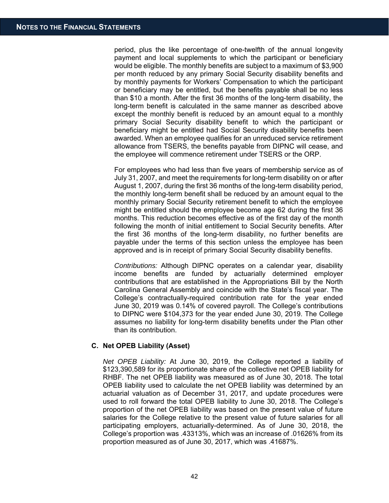period, plus the like percentage of one-twelfth of the annual longevity payment and local supplements to which the participant or beneficiary would be eligible. The monthly benefits are subject to a maximum of \$3,900 per month reduced by any primary Social Security disability benefits and by monthly payments for Workers' Compensation to which the participant or beneficiary may be entitled, but the benefits payable shall be no less than \$10 a month. After the first 36 months of the long-term disability, the long-term benefit is calculated in the same manner as described above except the monthly benefit is reduced by an amount equal to a monthly primary Social Security disability benefit to which the participant or beneficiary might be entitled had Social Security disability benefits been awarded. When an employee qualifies for an unreduced service retirement allowance from TSERS, the benefits payable from DIPNC will cease, and the employee will commence retirement under TSERS or the ORP.

For employees who had less than five years of membership service as of July 31, 2007, and meet the requirements for long-term disability on or after August 1, 2007, during the first 36 months of the long-term disability period, the monthly long-term benefit shall be reduced by an amount equal to the monthly primary Social Security retirement benefit to which the employee might be entitled should the employee become age 62 during the first 36 months. This reduction becomes effective as of the first day of the month following the month of initial entitlement to Social Security benefits. After the first 36 months of the long-term disability, no further benefits are payable under the terms of this section unless the employee has been approved and is in receipt of primary Social Security disability benefits.

*Contributions:* Although DIPNC operates on a calendar year, disability income benefits are funded by actuarially determined employer contributions that are established in the Appropriations Bill by the North Carolina General Assembly and coincide with the State's fiscal year. The College's contractually-required contribution rate for the year ended June 30, 2019 was 0.14% of covered payroll. The College's contributions to DIPNC were \$104,373 for the year ended June 30, 2019. The College assumes no liability for long-term disability benefits under the Plan other than its contribution.

### **C. Net OPEB Liability (Asset)**

*Net OPEB Liability:* At June 30, 2019, the College reported a liability of \$123,390,589 for its proportionate share of the collective net OPEB liability for RHBF. The net OPEB liability was measured as of June 30, 2018. The total OPEB liability used to calculate the net OPEB liability was determined by an actuarial valuation as of December 31, 2017, and update procedures were used to roll forward the total OPEB liability to June 30, 2018. The College's proportion of the net OPEB liability was based on the present value of future salaries for the College relative to the present value of future salaries for all participating employers, actuarially-determined. As of June 30, 2018, the College's proportion was .43313%, which was an increase of .01626% from its proportion measured as of June 30, 2017, which was .41687%.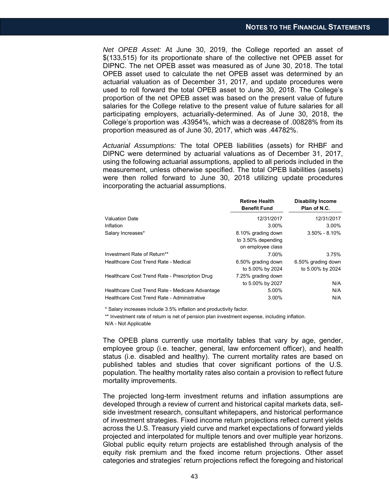*Net OPEB Asset:* At June 30, 2019, the College reported an asset of \$(133,515) for its proportionate share of the collective net OPEB asset for DIPNC. The net OPEB asset was measured as of June 30, 2018. The total OPEB asset used to calculate the net OPEB asset was determined by an actuarial valuation as of December 31, 2017, and update procedures were used to roll forward the total OPEB asset to June 30, 2018. The College's proportion of the net OPEB asset was based on the present value of future salaries for the College relative to the present value of future salaries for all participating employers, actuarially-determined. As of June 30, 2018, the College's proportion was .43954%, which was a decrease of .00828% from its proportion measured as of June 30, 2017, which was .44782%.

*Actuarial Assumptions:* The total OPEB liabilities (assets) for RHBF and DIPNC were determined by actuarial valuations as of December 31, 2017, using the following actuarial assumptions, applied to all periods included in the measurement, unless otherwise specified. The total OPEB liabilities (assets) were then rolled forward to June 30, 2018 utilizing update procedures incorporating the actuarial assumptions.

|                                                 | <b>Retiree Health</b><br><b>Benefit Fund</b> | <b>Disability Income</b><br>Plan of N.C. |
|-------------------------------------------------|----------------------------------------------|------------------------------------------|
| <b>Valuation Date</b>                           | 12/31/2017                                   | 12/31/2017                               |
| Inflation                                       | 3.00%                                        | 3.00%                                    |
| Salary Increases*                               | 8.10% grading down                           | $3.50\% - 8.10\%$                        |
|                                                 | to 3.50% depending                           |                                          |
|                                                 | on employee class                            |                                          |
| Investment Rate of Return**                     | 7.00%                                        | 3.75%                                    |
| Healthcare Cost Trend Rate - Medical            | 6.50% grading down                           | 6.50% grading down                       |
|                                                 | to 5.00% by 2024                             | to 5.00% by 2024                         |
| Healthcare Cost Trend Rate - Prescription Drug  | 7.25% grading down                           |                                          |
|                                                 | to 5.00% by 2027                             | N/A                                      |
| Healthcare Cost Trend Rate - Medicare Advantage | 5.00%                                        | N/A                                      |
| Healthcare Cost Trend Rate - Administrative     | 3.00%                                        | N/A                                      |

\* Salary increases include 3.5% inflation and productivity factor.

\*\* Investment rate of return is net of pension plan investment expense, including inflation. N/A - Not Applicable

The OPEB plans currently use mortality tables that vary by age, gender, employee group (i.e. teacher, general, law enforcement officer), and health status (i.e. disabled and healthy). The current mortality rates are based on published tables and studies that cover significant portions of the U.S. population. The healthy mortality rates also contain a provision to reflect future mortality improvements.

The projected long-term investment returns and inflation assumptions are developed through a review of current and historical capital markets data, sellside investment research, consultant whitepapers, and historical performance of investment strategies. Fixed income return projections reflect current yields across the U.S. Treasury yield curve and market expectations of forward yields projected and interpolated for multiple tenors and over multiple year horizons. Global public equity return projects are established through analysis of the equity risk premium and the fixed income return projections. Other asset categories and strategies' return projections reflect the foregoing and historical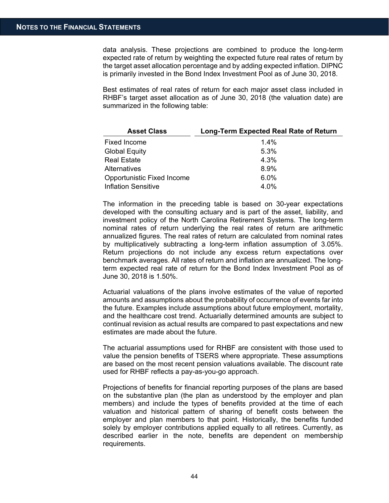data analysis. These projections are combined to produce the long-term expected rate of return by weighting the expected future real rates of return by the target asset allocation percentage and by adding expected inflation. DIPNC is primarily invested in the Bond Index Investment Pool as of June 30, 2018.

Best estimates of real rates of return for each major asset class included in RHBF's target asset allocation as of June 30, 2018 (the valuation date) are summarized in the following table:

| <b>Asset Class</b>         | Long-Term Expected Real Rate of Return |  |  |  |  |
|----------------------------|----------------------------------------|--|--|--|--|
| Fixed Income               | $1.4\%$                                |  |  |  |  |
| <b>Global Equity</b>       | 5.3%                                   |  |  |  |  |
| <b>Real Estate</b>         | 4.3%                                   |  |  |  |  |
| Alternatives               | 8.9%                                   |  |  |  |  |
| Opportunistic Fixed Income | $6.0\%$                                |  |  |  |  |
| <b>Inflation Sensitive</b> | $4.0\%$                                |  |  |  |  |

The information in the preceding table is based on 30-year expectations developed with the consulting actuary and is part of the asset, liability, and investment policy of the North Carolina Retirement Systems. The long-term nominal rates of return underlying the real rates of return are arithmetic annualized figures. The real rates of return are calculated from nominal rates by multiplicatively subtracting a long-term inflation assumption of 3.05%. Return projections do not include any excess return expectations over benchmark averages. All rates of return and inflation are annualized. The longterm expected real rate of return for the Bond Index Investment Pool as of June 30, 2018 is 1.50%.

Actuarial valuations of the plans involve estimates of the value of reported amounts and assumptions about the probability of occurrence of events far into the future. Examples include assumptions about future employment, mortality, and the healthcare cost trend. Actuarially determined amounts are subject to continual revision as actual results are compared to past expectations and new estimates are made about the future.

The actuarial assumptions used for RHBF are consistent with those used to value the pension benefits of TSERS where appropriate. These assumptions are based on the most recent pension valuations available. The discount rate used for RHBF reflects a pay-as-you-go approach.

Projections of benefits for financial reporting purposes of the plans are based on the substantive plan (the plan as understood by the employer and plan members) and include the types of benefits provided at the time of each valuation and historical pattern of sharing of benefit costs between the employer and plan members to that point. Historically, the benefits funded solely by employer contributions applied equally to all retirees. Currently, as described earlier in the note, benefits are dependent on membership requirements.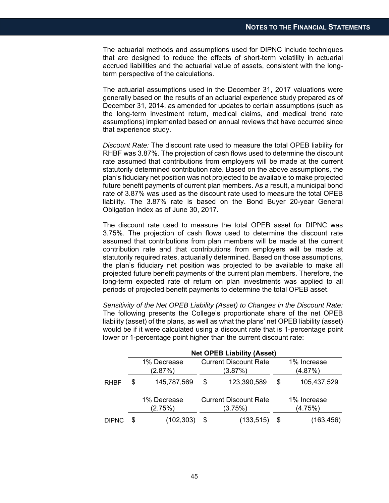The actuarial methods and assumptions used for DIPNC include techniques that are designed to reduce the effects of short-term volatility in actuarial accrued liabilities and the actuarial value of assets, consistent with the longterm perspective of the calculations.

The actuarial assumptions used in the December 31, 2017 valuations were generally based on the results of an actuarial experience study prepared as of December 31, 2014, as amended for updates to certain assumptions (such as the long-term investment return, medical claims, and medical trend rate assumptions) implemented based on annual reviews that have occurred since that experience study.

*Discount Rate:* The discount rate used to measure the total OPEB liability for RHBF was 3.87%. The projection of cash flows used to determine the discount rate assumed that contributions from employers will be made at the current statutorily determined contribution rate. Based on the above assumptions, the plan's fiduciary net position was not projected to be available to make projected future benefit payments of current plan members. As a result, a municipal bond rate of 3.87% was used as the discount rate used to measure the total OPEB liability. The 3.87% rate is based on the Bond Buyer 20-year General Obligation Index as of June 30, 2017.

The discount rate used to measure the total OPEB asset for DIPNC was 3.75%. The projection of cash flows used to determine the discount rate assumed that contributions from plan members will be made at the current contribution rate and that contributions from employers will be made at statutorily required rates, actuarially determined. Based on those assumptions, the plan's fiduciary net position was projected to be available to make all projected future benefit payments of the current plan members. Therefore, the long-term expected rate of return on plan investments was applied to all periods of projected benefit payments to determine the total OPEB asset.

*Sensitivity of the Net OPEB Liability (Asset) to Changes in the Discount Rate:* The following presents the College's proportionate share of the net OPEB liability (asset) of the plans, as well as what the plans' net OPEB liability (asset) would be if it were calculated using a discount rate that is 1-percentage point lower or 1-percentage point higher than the current discount rate:

|              |   |                        |    | <b>Net OPEB Liability (Asset)</b>       |                        |
|--------------|---|------------------------|----|-----------------------------------------|------------------------|
|              |   | 1% Decrease<br>(2.87%) |    | <b>Current Discount Rate</b>            | 1% Increase            |
|              |   |                        |    | (3.87%)                                 | (4.87%)                |
| <b>RHBF</b>  | S | 145,787,569            | S  | 123,390,589                             | \$<br>105,437,529      |
|              |   | 1% Decrease<br>(2.75%) |    | <b>Current Discount Rate</b><br>(3.75%) | 1% Increase<br>(4.75%) |
| <b>DIPNC</b> |   | (102,303)              | \$ | (133, 515)                              | \$<br>(163, 456)       |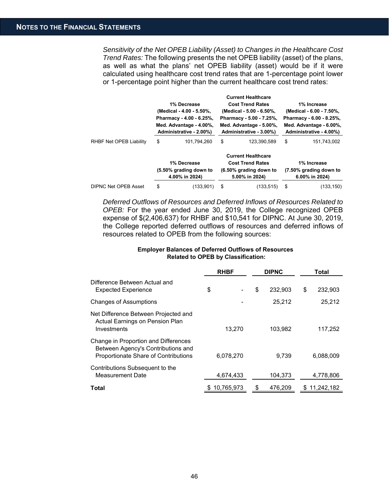*Sensitivity of the Net OPEB Liability (Asset) to Changes in the Healthcare Cost Trend Rates:* The following presents the net OPEB liability (asset) of the plans, as well as what the plans' net OPEB liability (asset) would be if it were calculated using healthcare cost trend rates that are 1-percentage point lower or 1-percentage point higher than the current healthcare cost trend rates:

|                                | 1% Decrease<br>(Medical - 4.00 - 5.50%,<br>Pharmacy - 4.00 - 6.25%,<br>Med. Advantage - 4.00%,<br>Administrative - 2.00%) | <b>Current Healthcare</b><br><b>Cost Trend Rates</b><br>(Medical - 5.00 - 6.50%,<br>Pharmacy - 5.00 - 7.25%.<br>Med. Advantage - 5.00%,<br>Administrative - 3.00%) | 1% Increase<br>(Medical - 6.00 - 7.50%,<br>Pharmacy - 6.00 - 8.25%,<br>Med. Advantage - 6.00%,<br>Administrative - 4.00%) |                                                         |  |  |
|--------------------------------|---------------------------------------------------------------------------------------------------------------------------|--------------------------------------------------------------------------------------------------------------------------------------------------------------------|---------------------------------------------------------------------------------------------------------------------------|---------------------------------------------------------|--|--|
| <b>RHBF Net OPEB Liability</b> | \$<br>101,794,260                                                                                                         | \$<br>123,390,589                                                                                                                                                  | \$                                                                                                                        | 151,743,002                                             |  |  |
|                                | 1% Decrease<br>(5.50% grading down to<br>4.00% in 2024)                                                                   | <b>Current Healthcare</b><br><b>Cost Trend Rates</b><br>(6.50% grading down to<br>5.00% in 2024)                                                                   |                                                                                                                           | 1% Increase<br>(7.50% grading down to<br>6.00% in 2024) |  |  |
| <b>DIPNC Net OPEB Asset</b>    | \$<br>(133.901)                                                                                                           | \$<br>(133,515)                                                                                                                                                    | \$                                                                                                                        | (133, 150)                                              |  |  |

*Deferred Outflows of Resources and Deferred Inflows of Resources Related to OPEB:* For the year ended June 30, 2019, the College recognized OPEB expense of \$(2,406,637) for RHBF and \$10,541 for DIPNC. At June 30, 2019, the College reported deferred outflows of resources and deferred inflows of resources related to OPEB from the following sources:

#### **Employer Balances of Deferred Outflows of Resources Related to OPEB by Classification:**

|                                                                                                                    | <b>RHBF</b>  | <b>DIPNC</b> |         |    | Total        |  |
|--------------------------------------------------------------------------------------------------------------------|--------------|--------------|---------|----|--------------|--|
| Difference Between Actual and<br><b>Expected Experience</b>                                                        | \$           | \$           | 232,903 | \$ | 232.903      |  |
| Changes of Assumptions                                                                                             |              |              | 25.212  |    | 25.212       |  |
| Net Difference Between Projected and<br>Actual Earnings on Pension Plan<br>Investments                             | 13.270       |              | 103.982 |    | 117.252      |  |
| Change in Proportion and Differences<br>Between Agency's Contributions and<br>Proportionate Share of Contributions | 6,078,270    |              | 9.739   |    | 6,088,009    |  |
| Contributions Subsequent to the<br><b>Measurement Date</b>                                                         | 4,674,433    |              | 104.373 |    | 4,778,806    |  |
| Total                                                                                                              | \$10.765.973 | S            | 476.209 |    | \$11,242,182 |  |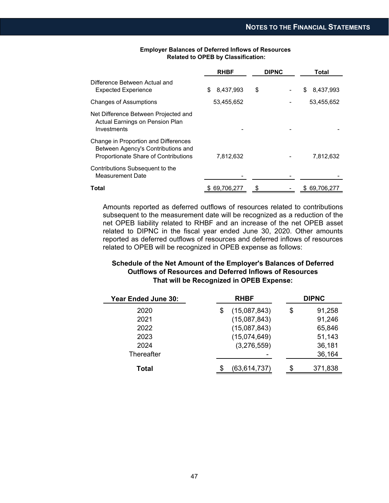|                                                                                                                    | <b>RHBF</b>     | <b>DIPNC</b> | Total           |
|--------------------------------------------------------------------------------------------------------------------|-----------------|--------------|-----------------|
| Difference Between Actual and<br><b>Expected Experience</b>                                                        | 8,437,993<br>\$ | \$           | 8,437,993<br>\$ |
| Changes of Assumptions                                                                                             | 53,455,652      |              | 53,455,652      |
| Net Difference Between Projected and<br>Actual Earnings on Pension Plan<br>Investments                             |                 |              |                 |
| Change in Proportion and Differences<br>Between Agency's Contributions and<br>Proportionate Share of Contributions | 7,812,632       |              | 7,812,632       |
| Contributions Subsequent to the<br>Measurement Date                                                                |                 |              |                 |
| Total                                                                                                              | \$69,706,277    |              | \$69,706,277    |

#### **Employer Balances of Deferred Inflows of Resources Related to OPEB by Classification:**

Amounts reported as deferred outflows of resources related to contributions subsequent to the measurement date will be recognized as a reduction of the net OPEB liability related to RHBF and an increase of the net OPEB asset related to DIPNC in the fiscal year ended June 30, 2020. Other amounts reported as deferred outflows of resources and deferred inflows of resources related to OPEB will be recognized in OPEB expense as follows:

# **Schedule of the Net Amount of the Employer's Balances of Deferred Outflows of Resources and Deferred Inflows of Resources That will be Recognized in OPEB Expense:**

| <b>Year Ended June 30:</b> | <b>RHBF</b>        | <b>DIPNC</b> |
|----------------------------|--------------------|--------------|
| 2020                       | (15,087,843)<br>\$ | 91,258<br>\$ |
| 2021                       | (15,087,843)       | 91,246       |
| 2022                       | (15,087,843)       | 65,846       |
| 2023                       | (15,074,649)       | 51,143       |
| 2024                       | (3,276,559)        | 36,181       |
| Thereafter                 |                    | 36,164       |
| Total                      | (63, 614, 737)     | 371,838      |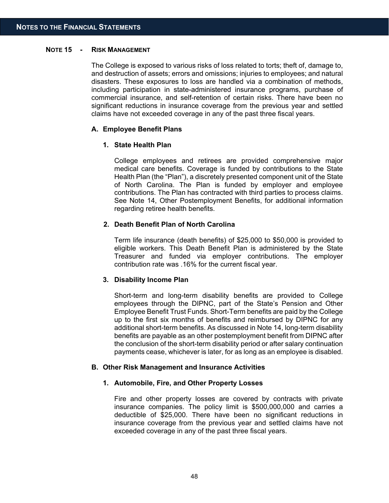#### **NOTE 15 - RISK MANAGEMENT**

The College is exposed to various risks of loss related to torts; theft of, damage to, and destruction of assets; errors and omissions; injuries to employees; and natural disasters. These exposures to loss are handled via a combination of methods, including participation in state-administered insurance programs, purchase of commercial insurance, and self-retention of certain risks. There have been no significant reductions in insurance coverage from the previous year and settled claims have not exceeded coverage in any of the past three fiscal years.

### **A. Employee Benefit Plans**

# **1. State Health Plan**

College employees and retirees are provided comprehensive major medical care benefits. Coverage is funded by contributions to the State Health Plan (the "Plan"), a discretely presented component unit of the State of North Carolina. The Plan is funded by employer and employee contributions. The Plan has contracted with third parties to process claims. See Note 14, Other Postemployment Benefits, for additional information regarding retiree health benefits.

# **2. Death Benefit Plan of North Carolina**

Term life insurance (death benefits) of \$25,000 to \$50,000 is provided to eligible workers. This Death Benefit Plan is administered by the State Treasurer and funded via employer contributions. The employer contribution rate was .16% for the current fiscal year.

### **3. Disability Income Plan**

Short-term and long-term disability benefits are provided to College employees through the DIPNC, part of the State's Pension and Other Employee Benefit Trust Funds. Short-Term benefits are paid by the College up to the first six months of benefits and reimbursed by DIPNC for any additional short-term benefits. As discussed in Note 14, long-term disability benefits are payable as an other postemployment benefit from DIPNC after the conclusion of the short-term disability period or after salary continuation payments cease, whichever is later, for as long as an employee is disabled.

### **B. Other Risk Management and Insurance Activities**

### **1. Automobile, Fire, and Other Property Losses**

Fire and other property losses are covered by contracts with private insurance companies. The policy limit is \$500,000,000 and carries a deductible of \$25,000. There have been no significant reductions in insurance coverage from the previous year and settled claims have not exceeded coverage in any of the past three fiscal years.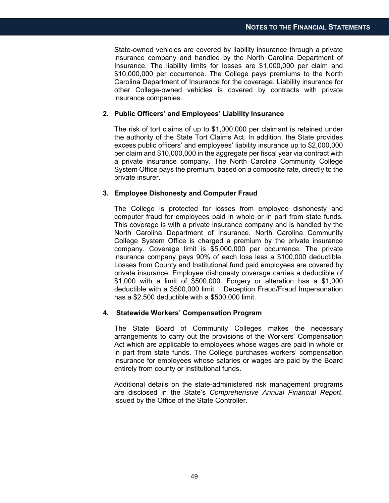State-owned vehicles are covered by liability insurance through a private insurance company and handled by the North Carolina Department of Insurance. The liability limits for losses are \$1,000,000 per claim and \$10,000,000 per occurrence. The College pays premiums to the North Carolina Department of Insurance for the coverage. Liability insurance for other College-owned vehicles is covered by contracts with private insurance companies.

## **2. Public Officers' and Employees' Liability Insurance**

The risk of tort claims of up to \$1,000,000 per claimant is retained under the authority of the State Tort Claims Act. In addition, the State provides excess public officers' and employees' liability insurance up to \$2,000,000 per claim and \$10,000,000 in the aggregate per fiscal year via contract with a private insurance company. The North Carolina Community College System Office pays the premium, based on a composite rate, directly to the private insurer.

# **3. Employee Dishonesty and Computer Fraud**

The College is protected for losses from employee dishonesty and computer fraud for employees paid in whole or in part from state funds. This coverage is with a private insurance company and is handled by the North Carolina Department of Insurance. North Carolina Community College System Office is charged a premium by the private insurance company. Coverage limit is \$5,000,000 per occurrence. The private insurance company pays 90% of each loss less a \$100,000 deductible. Losses from County and Institutional fund paid employees are covered by private insurance. Employee dishonesty coverage carries a deductible of \$1,000 with a limit of \$500,000. Forgery or alteration has a \$1,000 deductible with a \$500,000 limit. Deception Fraud/Fraud Impersonation has a \$2,500 deductible with a \$500,000 limit.

# **4. Statewide Workers' Compensation Program**

The State Board of Community Colleges makes the necessary arrangements to carry out the provisions of the Workers' Compensation Act which are applicable to employees whose wages are paid in whole or in part from state funds. The College purchases workers' compensation insurance for employees whose salaries or wages are paid by the Board entirely from county or institutional funds.

Additional details on the state-administered risk management programs are disclosed in the State's *Comprehensive Annual Financial Report*, issued by the Office of the State Controller.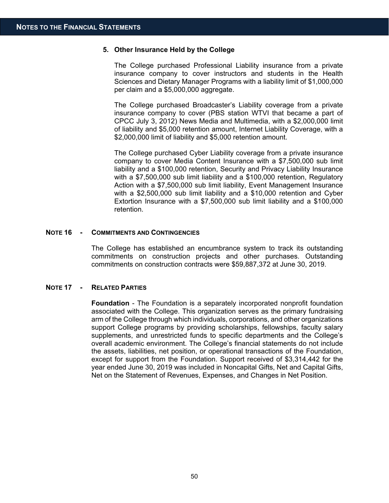#### **5. Other Insurance Held by the College**

The College purchased Professional Liability insurance from a private insurance company to cover instructors and students in the Health Sciences and Dietary Manager Programs with a liability limit of \$1,000,000 per claim and a \$5,000,000 aggregate.

The College purchased Broadcaster's Liability coverage from a private insurance company to cover (PBS station WTVI that became a part of CPCC July 3, 2012) News Media and Multimedia, with a \$2,000,000 limit of liability and \$5,000 retention amount, Internet Liability Coverage, with a \$2,000,000 limit of liability and \$5,000 retention amount.

The College purchased Cyber Liability coverage from a private insurance company to cover Media Content Insurance with a \$7,500,000 sub limit liability and a \$100,000 retention, Security and Privacy Liability Insurance with a \$7,500,000 sub limit liability and a \$100,000 retention, Regulatory Action with a \$7,500,000 sub limit liability, Event Management Insurance with a \$2,500,000 sub limit liability and a \$10,000 retention and Cyber Extortion Insurance with a \$7,500,000 sub limit liability and a \$100,000 retention.

#### **NOTE 16 - COMMITMENTS AND CONTINGENCIES**

The College has established an encumbrance system to track its outstanding commitments on construction projects and other purchases. Outstanding commitments on construction contracts were \$59,887,372 at June 30, 2019.

### **NOTE 17 - RELATED PARTIES**

**Foundation** - The Foundation is a separately incorporated nonprofit foundation associated with the College. This organization serves as the primary fundraising arm of the College through which individuals, corporations, and other organizations support College programs by providing scholarships, fellowships, faculty salary supplements, and unrestricted funds to specific departments and the College's overall academic environment. The College's financial statements do not include the assets, liabilities, net position, or operational transactions of the Foundation, except for support from the Foundation. Support received of \$3,314,442 for the year ended June 30, 2019 was included in Noncapital Gifts, Net and Capital Gifts, Net on the Statement of Revenues, Expenses, and Changes in Net Position.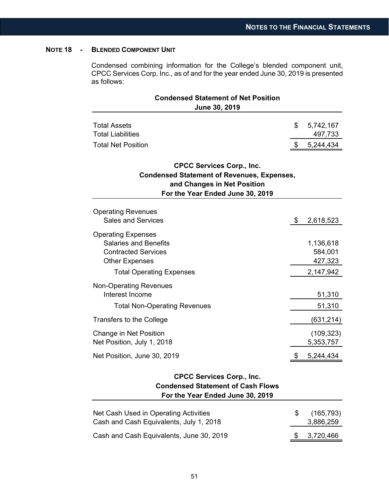# **NOTE 18 - BLENDED COMPONENT UNIT**

Condensed combining information for the College's blended component unit, CPCC Services Corp, Inc., as of and for the year ended June 30, 2019 is presented as follows:

| <b>Condensed Statement of Net Position</b><br>June 30, 2019                                                                                              |    |                                 |  |  |  |  |  |  |
|----------------------------------------------------------------------------------------------------------------------------------------------------------|----|---------------------------------|--|--|--|--|--|--|
| <b>Total Assets</b><br><b>Total Liabilities</b>                                                                                                          | \$ | 5,742,167<br>497,733            |  |  |  |  |  |  |
| <b>Total Net Position</b>                                                                                                                                | \$ | 5,244,434                       |  |  |  |  |  |  |
| <b>CPCC Services Corp., Inc.</b><br><b>Condensed Statement of Revenues, Expenses,</b><br>and Changes in Net Position<br>For the Year Ended June 30, 2019 |    |                                 |  |  |  |  |  |  |
| <b>Operating Revenues</b><br><b>Sales and Services</b>                                                                                                   | \$ | 2,618,523                       |  |  |  |  |  |  |
| <b>Operating Expenses</b><br><b>Salaries and Benefits</b><br><b>Contracted Services</b><br><b>Other Expenses</b>                                         |    | 1,136,618<br>584,001<br>427,323 |  |  |  |  |  |  |
| <b>Total Operating Expenses</b><br><b>Non-Operating Revenues</b>                                                                                         |    | 2,147,942                       |  |  |  |  |  |  |
| Interest Income<br><b>Total Non-Operating Revenues</b>                                                                                                   |    | 51,310<br>51,310                |  |  |  |  |  |  |
| Transfers to the College                                                                                                                                 |    | (631, 214)                      |  |  |  |  |  |  |
| Change in Net Position<br>Net Position, July 1, 2018                                                                                                     |    | (109, 323)<br>5,353,757         |  |  |  |  |  |  |
| Net Position, June 30, 2019                                                                                                                              | \$ | 5,244,434                       |  |  |  |  |  |  |
| <b>CPCC Services Corp., Inc.</b><br><b>Condensed Statement of Cash Flows</b>                                                                             |    |                                 |  |  |  |  |  |  |

# **Condensed Statement of Cash Flows For the Year Ended June 30, 2019**

| Net Cash Used in Operating Activities    | (165,793)   |
|------------------------------------------|-------------|
| Cash and Cash Equivalents, July 1, 2018  | 3,886,259   |
| Cash and Cash Equivalents, June 30, 2019 | \$3,720,466 |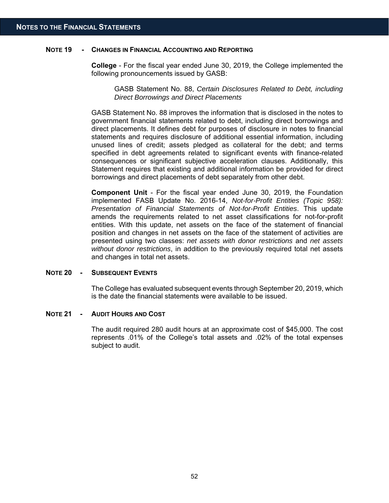#### **NOTE 19 - CHANGES IN FINANCIAL ACCOUNTING AND REPORTING**

**College** - For the fiscal year ended June 30, 2019, the College implemented the following pronouncements issued by GASB:

GASB Statement No. 88, *Certain Disclosures Related to Debt, including Direct Borrowings and Direct Placements* 

GASB Statement No. 88 improves the information that is disclosed in the notes to government financial statements related to debt, including direct borrowings and direct placements. It defines debt for purposes of disclosure in notes to financial statements and requires disclosure of additional essential information, including unused lines of credit; assets pledged as collateral for the debt; and terms specified in debt agreements related to significant events with finance-related consequences or significant subjective acceleration clauses. Additionally, this Statement requires that existing and additional information be provided for direct borrowings and direct placements of debt separately from other debt.

**Component Unit** - For the fiscal year ended June 30, 2019, the Foundation implemented FASB Update No. 2016-14, *Not-for-Profit Entities (Topic 958): Presentation of Financial Statements of Not-for-Profit Entities*. This update amends the requirements related to net asset classifications for not-for-profit entities. With this update, net assets on the face of the statement of financial position and changes in net assets on the face of the statement of activities are presented using two classes: *net assets with donor restrictions* and *net assets without donor restrictions*, in addition to the previously required total net assets and changes in total net assets.

# **NOTE 20 - SUBSEQUENT EVENTS**

The College has evaluated subsequent events through September 20, 2019, which is the date the financial statements were available to be issued.

#### **NOTE 21 - AUDIT HOURS AND COST**

The audit required 280 audit hours at an approximate cost of \$45,000. The cost represents .01% of the College's total assets and .02% of the total expenses subject to audit.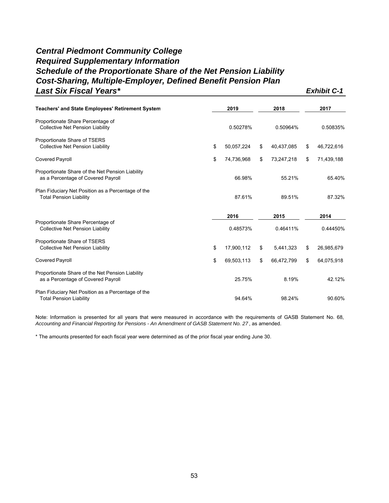# *Central Piedmont Community College Required Supplementary Information Schedule of the Proportionate Share of the Net Pension Liability Cost-Sharing, Multiple-Employer, Defined Benefit Pension Plan Last Six Fiscal Years\* Exhibit C-1*

| <b>Teachers' and State Employees' Retirement System</b>                                | 2019             | 2018             | 2017             |
|----------------------------------------------------------------------------------------|------------------|------------------|------------------|
| Proportionate Share Percentage of<br>Collective Net Pension Liability                  | 0.50278%         | 0.50964%         | 0.50835%         |
| Proportionate Share of TSERS<br><b>Collective Net Pension Liability</b>                | \$<br>50,057,224 | \$<br>40,437,085 | \$<br>46,722,616 |
| <b>Covered Payroll</b>                                                                 | \$<br>74,736,968 | \$<br>73,247,218 | \$<br>71,439,188 |
| Proportionate Share of the Net Pension Liability<br>as a Percentage of Covered Payroll | 66.98%           | 55.21%           | 65.40%           |
| Plan Fiduciary Net Position as a Percentage of the<br><b>Total Pension Liability</b>   | 87.61%           | 89.51%           | 87.32%           |
|                                                                                        | 2016             | 2015             | 2014             |
| Proportionate Share Percentage of<br>Collective Net Pension Liability                  | 0.48573%         | 0.46411%         | 0.44450%         |
| Proportionate Share of TSERS<br><b>Collective Net Pension Liability</b>                | \$<br>17,900,112 | \$<br>5,441,323  | \$<br>26,985,679 |
| <b>Covered Payroll</b>                                                                 | \$<br>69,503,113 | \$<br>66,472,799 | \$<br>64,075,918 |
| Proportionate Share of the Net Pension Liability<br>as a Percentage of Covered Payroll | 25.75%           | 8.19%            | 42.12%           |
| Plan Fiduciary Net Position as a Percentage of the<br><b>Total Pension Liability</b>   | 94.64%           | 98.24%           | 90.60%           |

Note: Information is presented for all years that were measured in accordance with the requirements of GASB Statement No. 68, *Accounting and Financial Reporting for Pensions - An Amendment of GASB Statement No. 27* , as amended.

\* The amounts presented for each fiscal year were determined as of the prior fiscal year ending June 30.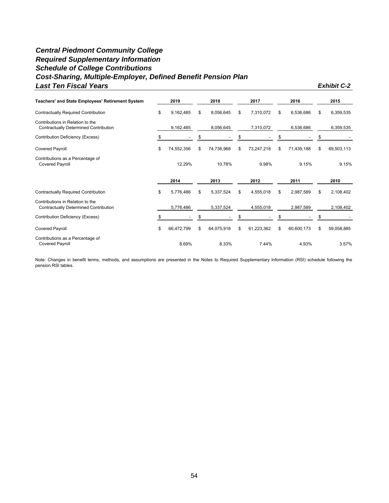# *Central Piedmont Community College Required Supplementary Information Schedule of College Contributions Cost-Sharing, Multiple-Employer, Defined Benefit Pension Plan Last Ten Fiscal Years Exhibit C-2*

| <b>Teachers' and State Employees' Retirement System</b>                          | 2019                     | 2018             | 2017             | 2016             |     | 2015       |
|----------------------------------------------------------------------------------|--------------------------|------------------|------------------|------------------|-----|------------|
| <b>Contractually Required Contribution</b>                                       | \$<br>9,162,485          | \$<br>8,056,645  | \$<br>7,310,072  | \$<br>6,536,686  | S.  | 6,359,535  |
| Contributions in Relation to the<br><b>Contractually Determined Contribution</b> | 9,162,485                | 8,056,645        | 7,310,072        | 6,536,686        |     | 6,359,535  |
| Contribution Deficiency (Excess)                                                 | $\overline{\phantom{a}}$ |                  | \$               | \$               |     |            |
| <b>Covered Payroll</b>                                                           | \$<br>74,552,356         | \$<br>74,736,968 | \$<br>73,247,218 | \$<br>71,439,188 | \$  | 69,503,113 |
| Contributions as a Percentage of<br><b>Covered Payroll</b>                       | 12.29%                   | 10.78%           | 9.98%            | 9.15%            |     | 9.15%      |
|                                                                                  |                          |                  |                  |                  |     |            |
|                                                                                  | 2014                     | 2013             | 2012             | 2011             |     | 2010       |
| <b>Contractually Required Contribution</b>                                       | \$<br>5,776,486          | \$<br>5,337,524  | \$<br>4,555,018  | \$<br>2,987,589  | \$  | 2,108,402  |
| Contributions in Relation to the<br><b>Contractually Determined Contribution</b> | 5,776,486                | 5,337,524        | 4,555,018        | 2,987,589        |     | 2,108,402  |
| Contribution Deficiency (Excess)                                                 |                          |                  |                  |                  |     |            |
| Covered Payroll                                                                  | \$<br>66,472,799         | \$<br>64,075,918 | \$<br>61,223,362 | \$<br>60,600,173 | \$. | 59,058,885 |

Note: Changes in benefit terms, methods, and assumptions are presented in the Notes to Required Supplementary Information (RSI) schedule following the pension RSI tables.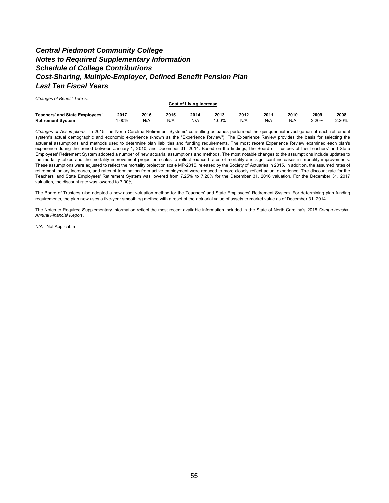# *Central Piedmont Community College Notes to Required Supplementary Information Schedule of College Contributions Cost-Sharing, Multiple-Employer, Defined Benefit Pension Plan Last Ten Fiscal Years*

| Changes of Benefit Terms:             |        |      |      |      |      |      |      |      |       |       |  |  |
|---------------------------------------|--------|------|------|------|------|------|------|------|-------|-------|--|--|
| <b>Cost of Living Increase</b>        |        |      |      |      |      |      |      |      |       |       |  |  |
|                                       |        |      |      |      |      |      |      |      |       |       |  |  |
| <b>Teachers' and State Employees'</b> | 2017   | 2016 | 2015 | 2014 | 2013 | 2012 | 2011 | 2010 | 2009  | 2008  |  |  |
| <b>Retirement System</b>              | $00\%$ | N/A  | N/A  | N/A  | .00% | N/A  | N/A  | N/A  | 2.20% | 2.20% |  |  |

*Changes of Assumptions:* In 2015, the North Carolina Retirement Systems' consulting actuaries performed the quinquennial investigation of each retirement system's actual demographic and economic experience (known as the "Experience Review"). The Experience Review provides the basis for selecting the actuarial assumptions and methods used to determine plan liabilities and funding requirements. The most recent Experience Review examined each plan's experience during the period between January 1, 2010, and December 31, 2014. Based on the findings, the Board of Trustees of the Teachers' and State Employees' Retirement System adopted a number of new actuarial assumptions and methods. The most notable changes to the assumptions include updates to the mortality tables and the mortality improvement projection scales to reflect reduced rates of mortality and significant increases in mortality improvements. These assumptions were adjusted to reflect the mortality projection scale MP-2015, released by the Society of Actuaries in 2015. In addition, the assumed rates of retirement, salary increases, and rates of termination from active employment were reduced to more closely reflect actual experience. The discount rate for the Teachers' and State Employees' Retirement System was lowered from 7.25% to 7.20% for the December 31, 2016 valuation. For the December 31, 2017 valuation, the discount rate was lowered to 7.00%.

The Board of Trustees also adopted a new asset valuation method for the Teachers' and State Employees' Retirement System. For determining plan funding requirements, the plan now uses a five-year smoothing method with a reset of the actuarial value of assets to market value as of December 31, 2014.

The Notes to Required Supplementary Information reflect the most recent available information included in the State of North Carolina's 2018 *Comprehensive Annual Financial Report*.

N/A - Not Applicable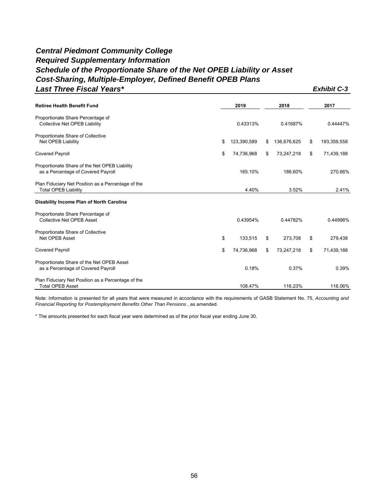# *Central Piedmont Community College Required Supplementary Information Schedule of the Proportionate Share of the Net OPEB Liability or Asset Cost-Sharing, Multiple-Employer, Defined Benefit OPEB Plans Last Three Fiscal Years\* Exhibit C-3*

| <b>Retiree Health Benefit Fund</b>                                                  | 2019              | 2018              | 2017              |
|-------------------------------------------------------------------------------------|-------------------|-------------------|-------------------|
| Proportionate Share Percentage of<br>Collective Net OPEB Liability                  | 0.43313%          | 0.41687%          | 0.44447%          |
| Proportionate Share of Collective<br>Net OPEB Liability                             | \$<br>123,390,589 | \$<br>136,676,625 | \$<br>193,359,558 |
| <b>Covered Payroll</b>                                                              | \$<br>74,736,968  | \$<br>73,247,218  | \$<br>71,439,188  |
| Proportionate Share of the Net OPEB Liability<br>as a Percentage of Covered Payroll | 165.10%           | 186.60%           | 270.66%           |
| Plan Fiduciary Net Position as a Percentage of the<br><b>Total OPEB Liability</b>   | 4.40%             | 3.52%             | 2.41%             |
| Disability Income Plan of North Carolina                                            |                   |                   |                   |
| Proportionate Share Percentage of<br><b>Collective Net OPEB Asset</b>               | 0.43954%          | 0.44782%          | 0.44998%          |
| Proportionate Share of Collective<br>Net OPEB Asset                                 | \$<br>133,515     | \$<br>273,708     | \$<br>279,438     |
| <b>Covered Payroll</b>                                                              | \$<br>74,736,968  | \$<br>73,247,218  | \$<br>71,439,188  |
| Proportionate Share of the Net OPEB Asset<br>as a Percentage of Covered Payroll     | 0.18%             | 0.37%             | 0.39%             |
| Plan Fiduciary Net Position as a Percentage of the<br><b>Total OPEB Asset</b>       | 108.47%           | 116.23%           | 116.06%           |

Note: Information is presented for all years that were measured in accordance with the requirements of GASB Statement No. 75, *Accounting and Financial Reporting for Postemployment Benefits Other Than Pensions* , as amended.

\* The amounts presented for each fiscal year were determined as of the prior fiscal year ending June 30.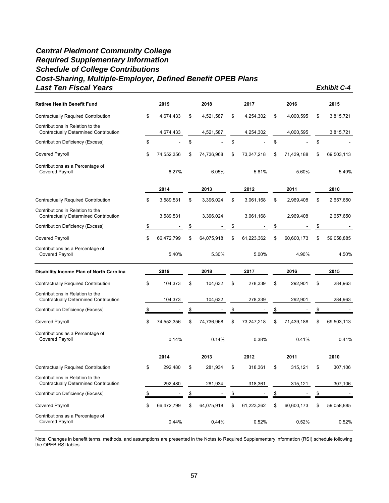# *Central Piedmont Community College Required Supplementary Information Schedule of College Contributions Cost-Sharing, Multiple-Employer, Defined Benefit OPEB Plans* **Last Ten Fiscal Years**

| <b>Exhibit C-4</b> |  |
|--------------------|--|
|--------------------|--|

| <b>Retiree Health Benefit Fund</b>                                               |               | 2019       | 2018             |               | 2017       | 2016             |               | 2015       |
|----------------------------------------------------------------------------------|---------------|------------|------------------|---------------|------------|------------------|---------------|------------|
| <b>Contractually Required Contribution</b>                                       | \$            | 4,674,433  | \$<br>4,521,587  | \$            | 4,254,302  | \$<br>4,000,595  | \$            | 3,815,721  |
| Contributions in Relation to the<br><b>Contractually Determined Contribution</b> |               | 4,674,433  | 4,521,587        |               | 4,254,302  | 4,000,595        |               | 3,815,721  |
| Contribution Deficiency (Excess)                                                 | $\frac{1}{2}$ |            | \$               | $\frac{1}{2}$ |            | \$               | $\frac{1}{2}$ |            |
| <b>Covered Payroll</b>                                                           | \$            | 74,552,356 | \$<br>74,736,968 | \$            | 73,247,218 | \$<br>71,439,188 | \$            | 69,503,113 |
| Contributions as a Percentage of<br>Covered Payroll                              |               | 6.27%      | 6.05%            |               | 5.81%      | 5.60%            |               | 5.49%      |
|                                                                                  |               | 2014       | 2013             |               | 2012       | 2011             |               | 2010       |
| <b>Contractually Required Contribution</b>                                       | \$            | 3,589,531  | \$<br>3,396,024  | \$            | 3,061,168  | \$<br>2,969,408  | \$            | 2,657,650  |
| Contributions in Relation to the<br>Contractually Determined Contribution        |               | 3,589,531  | 3,396,024        |               | 3,061,168  | 2,969,408        |               | 2,657,650  |
| Contribution Deficiency (Excess)                                                 | \$            |            | \$               | \$            |            | \$               | \$            |            |
| <b>Covered Payroll</b>                                                           | \$            | 66,472,799 | \$<br>64,075,918 | \$            | 61,223,362 | \$<br>60,600,173 | \$            | 59,058,885 |
| Contributions as a Percentage of<br><b>Covered Payroll</b>                       |               | 5.40%      | 5.30%            |               | 5.00%      | 4.90%            |               | 4.50%      |
| Disability Income Plan of North Carolina                                         |               | 2019       | 2018             |               | 2017       | 2016             |               | 2015       |
| <b>Contractually Required Contribution</b>                                       | \$            | 104,373    | \$<br>104,632    | \$            | 278,339    | \$<br>292,901    | \$            | 284,963    |
| Contributions in Relation to the<br><b>Contractually Determined Contribution</b> |               | 104,373    | 104,632          |               | 278,339    | 292,901          |               | 284,963    |
| Contribution Deficiency (Excess)                                                 | $\frac{1}{2}$ |            | \$               | \$            |            | \$               | $\frac{1}{2}$ |            |
| <b>Covered Payroll</b>                                                           | \$            | 74,552,356 | \$<br>74,736,968 | \$            | 73,247,218 | \$<br>71,439,188 | \$            | 69,503,113 |
| Contributions as a Percentage of<br><b>Covered Payroll</b>                       |               | 0.14%      | 0.14%            |               | 0.38%      | 0.41%            |               | 0.41%      |
|                                                                                  |               | 2014       | 2013             |               | 2012       | 2011             |               | 2010       |
| Contractually Required Contribution                                              | \$            | 292,480    | \$<br>281,934    | \$            | 318,361    | \$<br>315,121    | \$            | 307,106    |
| Contributions in Relation to the<br><b>Contractually Determined Contribution</b> |               | 292,480    | 281,934          |               | 318,361    | 315,121          |               | 307,106    |
| Contribution Deficiency (Excess)                                                 | \$            |            | \$               | \$            |            | \$               | $\frac{1}{2}$ |            |
| <b>Covered Payroll</b>                                                           | \$            | 66,472,799 | \$<br>64,075,918 | \$            | 61,223,362 | \$<br>60,600,173 | \$            | 59,058,885 |
| Contributions as a Percentage of<br><b>Covered Payroll</b>                       |               | 0.44%      | 0.44%            |               | 0.52%      | 0.52%            |               | 0.52%      |

Note: Changes in benefit terms, methods, and assumptions are presented in the Notes to Required Supplementary Information (RSI) schedule following the OPEB RSI tables.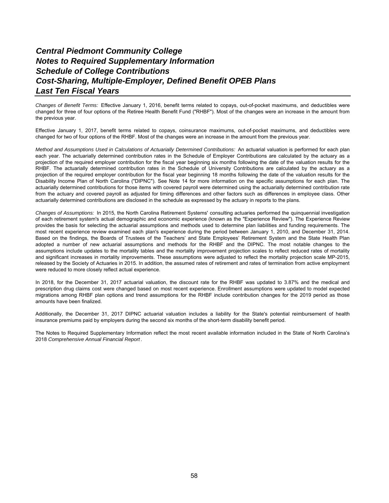# *Central Piedmont Community College Notes to Required Supplementary Information Schedule of College Contributions Cost-Sharing, Multiple-Employer, Defined Benefit OPEB Plans Last Ten Fiscal Years*

*Changes of Benefit Terms:* Effective January 1, 2016, benefit terms related to copays, out-of-pocket maximums, and deductibles were changed for three of four options of the Retiree Health Benefit Fund ("RHBF"). Most of the changes were an increase in the amount from the previous year.

Effective January 1, 2017, benefit terms related to copays, coinsurance maximums, out-of-pocket maximums, and deductibles were changed for two of four options of the RHBF. Most of the changes were an increase in the amount from the previous year.

*Method and Assumptions Used in Calculations of Actuarially Determined Contributions:* An actuarial valuation is performed for each plan each year. The actuarially determined contribution rates in the Schedule of Employer Contributions are calculated by the actuary as a projection of the required employer contribution for the fiscal year beginning six months following the date of the valuation results for the RHBF. The actuarially determined contribution rates in the Schedule of University Contributions are calculated by the actuary as a projection of the required employer contribution for the fiscal year beginning 18 months following the date of the valuation results for the Disability Income Plan of North Carolina ("DIPNC"). See Note 14 for more information on the specific assumptions for each plan. The actuarially determined contributions for those items with covered payroll were determined using the actuarially determined contribution rate from the actuary and covered payroll as adjusted for timing differences and other factors such as differences in employee class. Other actuarially determined contributions are disclosed in the schedule as expressed by the actuary in reports to the plans.

*Changes of Assumptions:* In 2015, the North Carolina Retirement Systems' consulting actuaries performed the quinquennial investigation of each retirement system's actual demographic and economic experience (known as the "Experience Review"). The Experience Review provides the basis for selecting the actuarial assumptions and methods used to determine plan liabilities and funding requirements. The most recent experience review examined each plan's experience during the period between January 1, 2010, and December 31, 2014. Based on the findings, the Boards of Trustees of the Teachers' and State Employees' Retirement System and the State Health Plan adopted a number of new actuarial assumptions and methods for the RHBF and the DIPNC. The most notable changes to the assumptions include updates to the mortality tables and the mortality improvement projection scales to reflect reduced rates of mortality and significant increases in mortality improvements. These assumptions were adjusted to reflect the mortality projection scale MP-2015, released by the Society of Actuaries in 2015. In addition, the assumed rates of retirement and rates of termination from active employment were reduced to more closely reflect actual experience.

In 2018, for the December 31, 2017 actuarial valuation, the discount rate for the RHBF was updated to 3.87% and the medical and prescription drug claims cost were changed based on most recent experience. Enrollment assumptions were updated to model expected migrations among RHBF plan options and trend assumptions for the RHBF include contribution changes for the 2019 period as those amounts have been finalized.

Additionally, the December 31, 2017 DIPNC actuarial valuation includes a liability for the State's potential reimbursement of health insurance premiums paid by employers during the second six months of the short-term disability benefit period.

The Notes to Required Supplementary Information reflect the most recent available information included in the State of North Carolina's 2018 *Comprehensive Annual Financial Report* .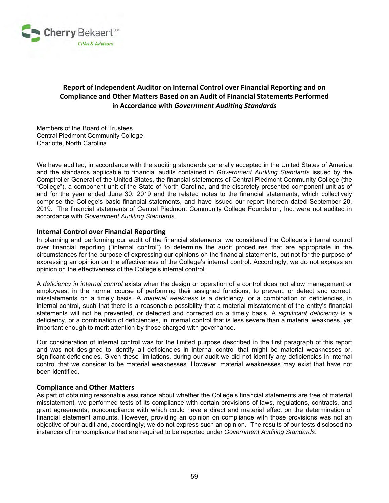

# **Report of Independent Auditor on Internal Control over Financial Reporting and on Compliance and Other Matters Based on an Audit of Financial Statements Performed in Accordance with** *Government Auditing Standards*

Members of the Board of Trustees Central Piedmont Community College Charlotte, North Carolina

We have audited, in accordance with the auditing standards generally accepted in the United States of America and the standards applicable to financial audits contained in *Government Auditing Standards* issued by the Comptroller General of the United States, the financial statements of Central Piedmont Community College (the "College"), a component unit of the State of North Carolina, and the discretely presented component unit as of and for the year ended June 30, 2019 and the related notes to the financial statements, which collectively comprise the College's basic financial statements, and have issued our report thereon dated September 20, 2019. The financial statements of Central Piedmont Community College Foundation, Inc. were not audited in accordance with *Government Auditing Standards*.

#### **Internal Control over Financial Reporting**

In planning and performing our audit of the financial statements, we considered the College's internal control over financial reporting ("internal control") to determine the audit procedures that are appropriate in the circumstances for the purpose of expressing our opinions on the financial statements, but not for the purpose of expressing an opinion on the effectiveness of the College's internal control. Accordingly, we do not express an opinion on the effectiveness of the College's internal control.

A *deficiency in internal control* exists when the design or operation of a control does not allow management or employees, in the normal course of performing their assigned functions, to prevent, or detect and correct, misstatements on a timely basis. A *material weakness* is a deficiency, or a combination of deficiencies, in internal control, such that there is a reasonable possibility that a material misstatement of the entity's financial statements will not be prevented, or detected and corrected on a timely basis. A *significant deficiency* is a deficiency, or a combination of deficiencies, in internal control that is less severe than a material weakness, yet important enough to merit attention by those charged with governance.

Our consideration of internal control was for the limited purpose described in the first paragraph of this report and was not designed to identify all deficiencies in internal control that might be material weaknesses or, significant deficiencies. Given these limitations, during our audit we did not identify any deficiencies in internal control that we consider to be material weaknesses. However, material weaknesses may exist that have not been identified.

#### **Compliance and Other Matters**

As part of obtaining reasonable assurance about whether the College's financial statements are free of material misstatement, we performed tests of its compliance with certain provisions of laws, regulations, contracts, and grant agreements, noncompliance with which could have a direct and material effect on the determination of financial statement amounts. However, providing an opinion on compliance with those provisions was not an objective of our audit and, accordingly, we do not express such an opinion. The results of our tests disclosed no instances of noncompliance that are required to be reported under *Government Auditing Standards*.